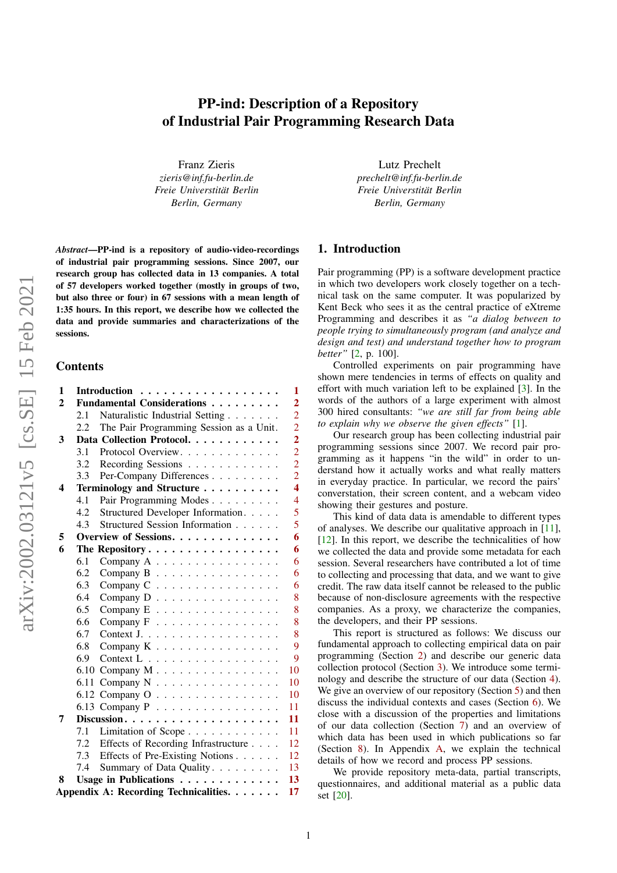# PP-ind: Description of a Repository of Industrial Pair Programming Research Data

Franz Zieris *zieris@inf.fu-berlin.de Freie Universtitat Berlin ¨ Berlin, Germany*

Lutz Prechelt *prechelt@inf.fu-berlin.de Freie Universtitat Berlin ¨ Berlin, Germany*

*Abstract*—PP-ind is a repository of audio-video-recordings of industrial pair programming sessions. Since 2007, our research group has collected data in 13 companies. A total of 57 developers worked together (mostly in groups of two, but also three or four) in 67 sessions with a mean length of 1:35 hours. In this report, we describe how we collected the data and provide summaries and characterizations of the sessions.

#### Contents

| 1              |     | Introduction<br>$\mathbf{1}$                              |
|----------------|-----|-----------------------------------------------------------|
| $\overline{2}$ |     | Fundamental Considerations<br>$\overline{2}$              |
|                | 2.1 | $\overline{2}$<br>Naturalistic Industrial Setting         |
|                | 2.2 | $\overline{2}$<br>The Pair Programming Session as a Unit. |
| 3              |     | $\overline{\mathbf{c}}$<br>Data Collection Protocol.      |
|                | 3.1 | $\overline{c}$<br>Protocol Overview.                      |
|                | 3.2 | $\overline{2}$<br>Recording Sessions                      |
|                | 3.3 | $\overline{2}$<br>Per-Company Differences                 |
| 4              |     | $\overline{\mathbf{4}}$<br>Terminology and Structure      |
|                | 4.1 | $\overline{4}$<br>Pair Programming Modes                  |
|                | 4.2 | 5<br>Structured Developer Information.                    |
|                | 4.3 | 5<br>Structured Session Information                       |
| 5              |     | 6<br>Overview of Sessions.                                |
| 6              |     | 6<br>The Repository                                       |
|                | 6.1 | 6<br>Company A                                            |
|                | 6.2 | 6<br>Company B                                            |
|                | 6.3 | 6<br>Company C                                            |
|                | 6.4 | 8<br>Company D                                            |
|                | 6.5 | 8<br>Company E                                            |
|                | 6.6 | 8<br>Company F                                            |
|                | 6.7 | 8<br>Context J.                                           |
|                | 6.8 | 9<br>Company K.                                           |
|                | 6.9 | $\overline{9}$<br>Context L                               |
|                |     | 6.10 Company M<br>10                                      |
|                |     | 6.11 Company N<br>10                                      |
|                |     | 6.12 Company O<br>10                                      |
|                |     | 11<br>6.13 Company P                                      |
| 7              |     | 11                                                        |
|                | 7.1 | 11<br>Limitation of Scope                                 |
|                | 7.2 | Effects of Recording Infrastructure<br>12                 |
|                | 7.3 | Effects of Pre-Existing Notions<br>12                     |
|                | 7.4 | 13<br>Summary of Data Quality.                            |
| 8              |     | 13<br>Usage in Publications                               |
|                |     | Appendix A: Recording Technicalities.<br>17               |

## 1. Introduction

Pair programming (PP) is a software development practice in which two developers work closely together on a technical task on the same computer. It was popularized by Kent Beck who sees it as the central practice of eXtreme Programming and describes it as *"a dialog between to people trying to simultaneously program (and analyze and design and test) and understand together how to program better"* [\[2,](#page-12-2) p. 100].

Controlled experiments on pair programming have shown mere tendencies in terms of effects on quality and effort with much variation left to be explained [\[3\]](#page-12-3). In the words of the authors of a large experiment with almost 300 hired consultants: *"we are still far from being able to explain why we observe the given effects"* [\[1\]](#page-12-4).

Our research group has been collecting industrial pair programming sessions since 2007. We record pair programming as it happens "in the wild" in order to understand how it actually works and what really matters in everyday practice. In particular, we record the pairs' converstation, their screen content, and a webcam video showing their gestures and posture.

This kind of data data is amendable to different types of analyses. We describe our qualitative approach in [\[11\]](#page-12-5),  $[12]$ . In this report, we describe the technicalities of how we collected the data and provide some metadata for each session. Several researchers have contributed a lot of time to collecting and processing that data, and we want to give credit. The raw data itself cannot be released to the public because of non-disclosure agreements with the respective companies. As a proxy, we characterize the companies, the developers, and their PP sessions.

This report is structured as follows: We discuss our fundamental approach to collecting empirical data on pair programming (Section [2\)](#page-0-1) and describe our generic data collection protocol (Section [3\)](#page-1-2). We introduce some terminology and describe the structure of our data (Section [4\)](#page-3-0). We give an overview of our repository (Section [5\)](#page-4-1) and then discuss the individual contexts and cases (Section [6\)](#page-5-0). We close with a discussion of the properties and limitations of our data collection (Section [7\)](#page-10-1) and an overview of which data has been used in which publications so far (Section [8\)](#page-12-1). In Appendix [A,](#page-16-0) we explain the technical details of how we record and process PP sessions.

<span id="page-0-1"></span><span id="page-0-0"></span>We provide repository meta-data, partial transcripts, questionnaires, and additional material as a public data set [\[20\]](#page-12-7).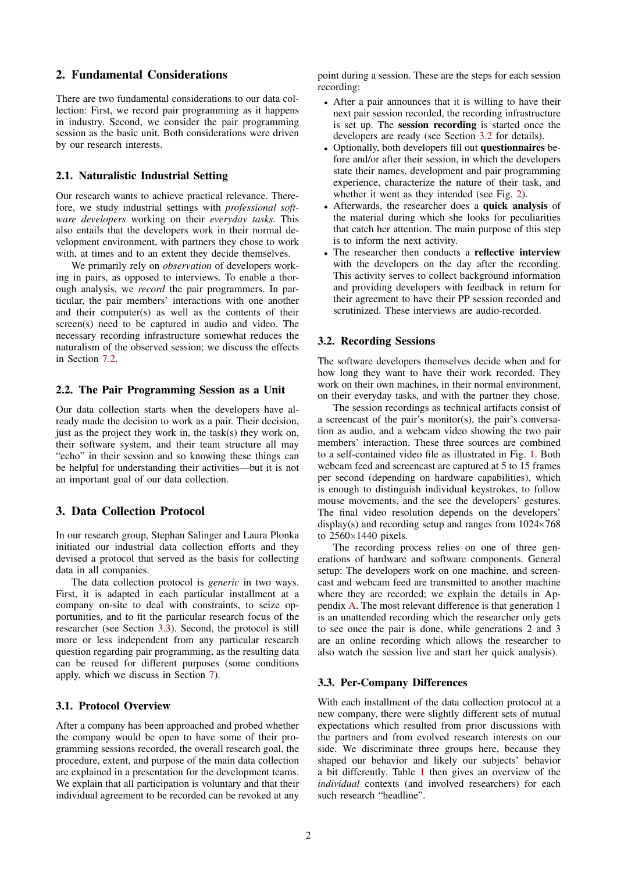## 2. Fundamental Considerations

There are two fundamental considerations to our data collection: First, we record pair programming as it happens in industry. Second, we consider the pair programming session as the basic unit. Both considerations were driven by our research interests.

## <span id="page-1-0"></span>2.1. Naturalistic Industrial Setting

Our research wants to achieve practical relevance. Therefore, we study industrial settings with *professional software developers* working on their *everyday tasks*. This also entails that the developers work in their normal development environment, with partners they chose to work with, at times and to an extent they decide themselves.

We primarily rely on *observation* of developers working in pairs, as opposed to interviews. To enable a thorough analysis, we *record* the pair programmers. In particular, the pair members' interactions with one another and their computer(s) as well as the contents of their screen(s) need to be captured in audio and video. The necessary recording infrastructure somewhat reduces the naturalism of the observed session; we discuss the effects in Section [7.2.](#page-11-0)

#### <span id="page-1-1"></span>2.2. The Pair Programming Session as a Unit

Our data collection starts when the developers have already made the decision to work as a pair. Their decision, just as the project they work in, the task(s) they work on, their software system, and their team structure all may "echo" in their session and so knowing these things can be helpful for understanding their activities—but it is not an important goal of our data collection.

### <span id="page-1-2"></span>3. Data Collection Protocol

In our research group, Stephan Salinger and Laura Plonka initiated our industrial data collection efforts and they devised a protocol that served as the basis for collecting data in all companies.

The data collection protocol is *generic* in two ways. First, it is adapted in each particular installment at a company on-site to deal with constraints, to seize opportunities, and to fit the particular research focus of the researcher (see Section [3.3\)](#page-1-5). Second, the protocol is still more or less independent from any particular research question regarding pair programming, as the resulting data can be reused for different purposes (some conditions apply, which we discuss in Section [7\)](#page-10-1).

#### <span id="page-1-3"></span>3.1. Protocol Overview

After a company has been approached and probed whether the company would be open to have some of their programming sessions recorded, the overall research goal, the procedure, extent, and purpose of the main data collection are explained in a presentation for the development teams. We explain that all participation is voluntary and that their individual agreement to be recorded can be revoked at any

point during a session. These are the steps for each session recording:

- After a pair announces that it is willing to have their next pair session recorded, the recording infrastructure is set up. The session recording is started once the developers are ready (see Section [3.2](#page-1-4) for details).
- Optionally, both developers fill out questionnaires before and/or after their session, in which the developers state their names, development and pair programming experience, characterize the nature of their task, and whether it went as they intended (see Fig. [2\)](#page-4-2).
- Afterwards, the researcher does a quick analysis of the material during which she looks for peculiarities that catch her attention. The main purpose of this step is to inform the next activity.
- The researcher then conducts a reflective interview with the developers on the day after the recording. This activity serves to collect background information and providing developers with feedback in return for their agreement to have their PP session recorded and scrutinized. These interviews are audio-recorded.

#### <span id="page-1-4"></span>3.2. Recording Sessions

The software developers themselves decide when and for how long they want to have their work recorded. They work on their own machines, in their normal environment, on their everyday tasks, and with the partner they chose.

The session recordings as technical artifacts consist of a screencast of the pair's monitor(s), the pair's conversation as audio, and a webcam video showing the two pair members' interaction. These three sources are combined to a self-contained video file as illustrated in Fig. [1.](#page-2-0) Both webcam feed and screencast are captured at 5 to 15 frames per second (depending on hardware capabilities), which is enough to distinguish individual keystrokes, to follow mouse movements, and the see the developers' gestures. The final video resolution depends on the developers' display(s) and recording setup and ranges from 1024×768 to 2560×1440 pixels.

The recording process relies on one of three generations of hardware and software components. General setup: The developers work on one machine, and screencast and webcam feed are transmitted to another machine where they are recorded; we explain the details in Appendix [A.](#page-16-0) The most relevant difference is that generation 1 is an unattended recording which the researcher only gets to see once the pair is done, while generations 2 and 3 are an online recording which allows the researcher to also watch the session live and start her quick analysis).

#### <span id="page-1-5"></span>3.3. Per-Company Differences

With each installment of the data collection protocol at a new company, there were slightly different sets of mutual expectations which resulted from prior discussions with the partners and from evolved research interests on our side. We discriminate three groups here, because they shaped our behavior and likely our subjects' behavior a bit differently. Table [1](#page-2-1) then gives an overview of the *individual* contexts (and involved researchers) for each such research "headline".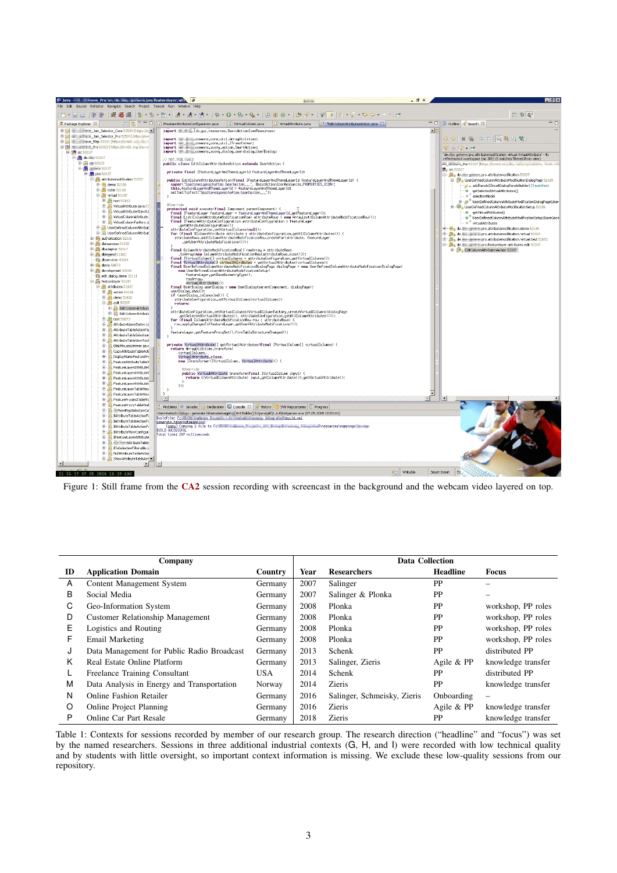<span id="page-2-0"></span>

Figure 1: Still frame from the [CA2](#page-6-1) session recording with screencast in the background and the webcam video layered on top.

<span id="page-2-1"></span>

|    | Company                                    |            |      | <b>Data Collection</b>      |                 |                    |
|----|--------------------------------------------|------------|------|-----------------------------|-----------------|--------------------|
| ID | <b>Application Domain</b>                  | Country    | Year | <b>Researchers</b>          | <b>Headline</b> | <b>Focus</b>       |
| A  | Content Management System                  | Germany    | 2007 | Salinger                    | PP              |                    |
| B  | Social Media                               | Germany    | 2007 | Salinger & Plonka           | <b>PP</b>       |                    |
| С  | Geo-Information System                     | Germany    | 2008 | Plonka                      | <b>PP</b>       | workshop, PP roles |
| D  | <b>Customer Relationship Management</b>    | Germany    | 2008 | Plonka                      | PP              | workshop, PP roles |
| Е  | Logistics and Routing                      | Germany    | 2008 | Plonka                      | PP              | workshop, PP roles |
| F  | Email Marketing                            | Germany    | 2008 | Plonka                      | PP              | workshop, PP roles |
| J  | Data Management for Public Radio Broadcast | Germany    | 2013 | Schenk                      | PP              | distributed PP     |
| Κ  | Real Estate Online Platform                | Germany    | 2013 | Salinger, Zieris            | Agile & PP      | knowledge transfer |
| L  | Freelance Training Consultant              | <b>USA</b> | 2014 | Schenk                      | PP              | distributed PP     |
| M  | Data Analysis in Energy and Transportation | Norway     | 2014 | <b>Zieris</b>               | PP              | knowledge transfer |
| N  | <b>Online Fashion Retailer</b>             | Germany    | 2016 | Salinger, Schmeisky, Zieris | Onboarding      | -                  |
| O  | <b>Online Project Planning</b>             | Germany    | 2016 | Zieris                      | Agile & PP      | knowledge transfer |
| P  | Online Car Part Resale                     | Germany    | 2018 | <b>Zieris</b>               | PP              | knowledge transfer |

Table 1: Contexts for sessions recorded by member of our research group. The research direction ("headline" and "focus") was set by the named researchers. Sessions in three additional industrial contexts (G, H, and I) were recorded with low technical quality and by students with little oversight, so important context information is missing. We exclude these low-quality sessions from our repository.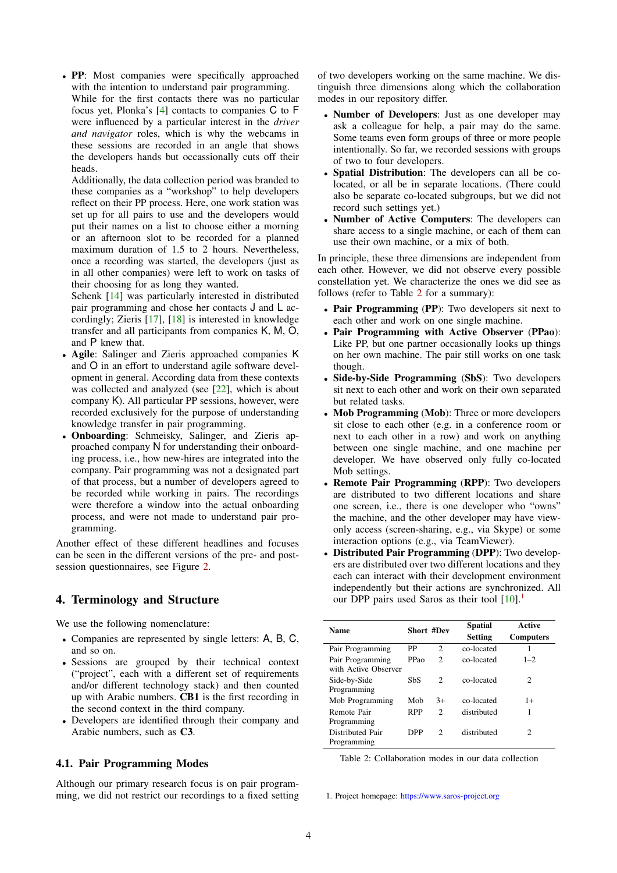• PP: Most companies were specifically approached with the intention to understand pair programming. While for the first contacts there was no particular focus yet, Plonka's [\[4\]](#page-12-8) contacts to companies C to F were influenced by a particular interest in the *driver and navigator* roles, which is why the webcams in these sessions are recorded in an angle that shows the developers hands but occassionally cuts off their heads.

Additionally, the data collection period was branded to these companies as a "workshop" to help developers reflect on their PP process. Here, one work station was set up for all pairs to use and the developers would put their names on a list to choose either a morning or an afternoon slot to be recorded for a planned maximum duration of 1.5 to 2 hours. Nevertheless, once a recording was started, the developers (just as in all other companies) were left to work on tasks of their choosing for as long they wanted.

Schenk [\[14\]](#page-12-9) was particularly interested in distributed pair programming and chose her contacts J and L accordingly; Zieris [\[17\]](#page-12-10), [\[18\]](#page-12-11) is interested in knowledge transfer and all participants from companies K, M, O, and P knew that.

- Agile: Salinger and Zieris approached companies K and O in an effort to understand agile software development in general. According data from these contexts was collected and analyzed (see [\[22\]](#page-12-12), which is about company K). All particular PP sessions, however, were recorded exclusively for the purpose of understanding knowledge transfer in pair programming.
- Onboarding: Schmeisky, Salinger, and Zieris approached company N for understanding their onboarding process, i.e., how new-hires are integrated into the company. Pair programming was not a designated part of that process, but a number of developers agreed to be recorded while working in pairs. The recordings were therefore a window into the actual onboarding process, and were not made to understand pair programming.

Another effect of these different headlines and focuses can be seen in the different versions of the pre- and postsession questionnaires, see Figure [2.](#page-4-2)

## <span id="page-3-0"></span>4. Terminology and Structure

We use the following nomenclature:

- Companies are represented by single letters: A, B, C, and so on.
- Sessions are grouped by their technical context ("project", each with a different set of requirements and/or different technology stack) and then counted up with Arabic numbers. CB1 is the first recording in the second context in the third company.
- Developers are identified through their company and Arabic numbers, such as C3.

## <span id="page-3-1"></span>4.1. Pair Programming Modes

Although our primary research focus is on pair programming, we did not restrict our recordings to a fixed setting of two developers working on the same machine. We distinguish three dimensions along which the collaboration modes in our repository differ.

- Number of Developers: Just as one developer may ask a colleague for help, a pair may do the same. Some teams even form groups of three or more people intentionally. So far, we recorded sessions with groups of two to four developers.
- Spatial Distribution: The developers can all be colocated, or all be in separate locations. (There could also be separate co-located subgroups, but we did not record such settings yet.)
- Number of Active Computers: The developers can share access to a single machine, or each of them can use their own machine, or a mix of both.

In principle, these three dimensions are independent from each other. However, we did not observe every possible constellation yet. We characterize the ones we did see as follows (refer to Table [2](#page-3-3) for a summary):

- Pair Programming (PP): Two developers sit next to each other and work on one single machine.
- Pair Programming with Active Observer (PPao): Like PP, but one partner occasionally looks up things on her own machine. The pair still works on one task though.
- Side-by-Side Programming (SbS): Two developers sit next to each other and work on their own separated but related tasks.
- Mob Programming (Mob): Three or more developers sit close to each other (e.g. in a conference room or next to each other in a row) and work on anything between one single machine, and one machine per developer. We have observed only fully co-located Mob settings.
- Remote Pair Programming (RPP): Two developers are distributed to two different locations and share one screen, i.e., there is one developer who "owns" the machine, and the other developer may have viewonly access (screen-sharing, e.g., via Skype) or some interaction options (e.g., via TeamViewer).
- Distributed Pair Programming (DPP): Two developers are distributed over two different locations and they each can interact with their development environment independently but their actions are synchronized. All our DPP pairs used Saros as their tool  $[10]$ .<sup>[1](#page-3-4)</sup>

<span id="page-3-3"></span>

| <b>Name</b>                              | <b>Short #Dev</b> |                               | <b>Spatial</b> | Active           |
|------------------------------------------|-------------------|-------------------------------|----------------|------------------|
|                                          |                   |                               | <b>Setting</b> | <b>Computers</b> |
| Pair Programming                         | PP                | $\mathcal{D}_{\mathcal{L}}$   | co-located     |                  |
| Pair Programming<br>with Active Observer | PPao              | $\mathcal{D}_{\mathcal{L}}$   | co-located     | $1 - 2$          |
| Side-by-Side<br>Programming              | SbS               | $\mathcal{D}$                 | co-located     | 2                |
| Mob Programming                          | Mob               | $3+$                          | co-located     | $1+$             |
| Remote Pair<br>Programming               | <b>RPP</b>        | $\mathfrak{D}_{\mathfrak{p}}$ | distributed    | 1                |
| Distributed Pair<br>Programming          | DPP               | $\mathcal{D}$                 | distributed    | 2                |

Table 2: Collaboration modes in our data collection

<span id="page-3-4"></span><span id="page-3-2"></span>1. Project homepage: <https://www.saros-project.org>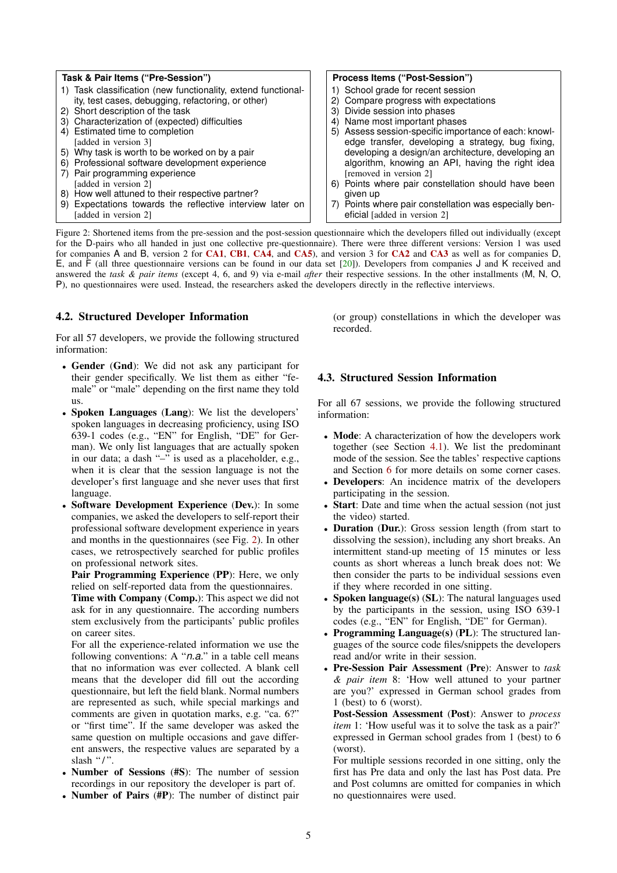<span id="page-4-2"></span>

| Task & Pair Items ("Pre-Session")                             | Process Items ("Post-Session")                         |
|---------------------------------------------------------------|--------------------------------------------------------|
| 1) Task classification (new functionality, extend functional- | 1) School grade for recent session                     |
| ity, test cases, debugging, refactoring, or other)            | 2) Compare progress with expectations                  |
| 2) Short description of the task                              | 3) Divide session into phases                          |
| 3) Characterization of (expected) difficulties                | 4) Name most important phases                          |
| 4) Estimated time to completion                               | 5) Assess session-specific importance of each: knowl-  |
| [added in version 3]                                          | edge transfer, developing a strategy, bug fixing,      |
| 5) Why task is worth to be worked on by a pair                | developing a design/an architecture, developing an     |
| 6) Professional software development experience               | algorithm, knowing an API, having the right idea       |
| 7) Pair programming experience                                | [removed in version 2]                                 |
| [added in version 2]                                          | 6) Points where pair constellation should have been    |
| 8) How well attuned to their respective partner?              | given up                                               |
| 9) Expectations towards the reflective interview later on     | 7) Points where pair constellation was especially ben- |
| [added in version 2]                                          | eficial [added in version 2]                           |

Figure 2: Shortened items from the pre-session and the post-session questionnaire which the developers filled out individually (except for the D-pairs who all handed in just one collective pre-questionnaire). There were three different versions: Version 1 was used for companies A and B, version 2 for [CA1](#page-5-4), [CB1](#page-6-2), [CA4](#page-6-3), and [CA5](#page-6-4)), and version 3 for [CA2](#page-6-1) and [CA3](#page-6-5) as well as for companies D, E, and F (all three questionnaire versions can be found in our data set [\[20\]](#page-12-7)). Developers from companies J and K received and answered the *task & pair items* (except 4, 6, and 9) via e-mail *after* their respective sessions. In the other installments (M, N, O, P), no questionnaires were used. Instead, the researchers asked the developers directly in the reflective interviews.

## 4.2. Structured Developer Information

For all 57 developers, we provide the following structured information:

- Gender (Gnd): We did not ask any participant for their gender specifically. We list them as either "female" or "male" depending on the first name they told us.
- Spoken Languages (Lang): We list the developers' spoken languages in decreasing proficiency, using ISO 639-1 codes (e.g., "EN" for English, "DE" for German). We only list languages that are actually spoken in our data; a dash "–" is used as a placeholder, e.g., when it is clear that the session language is not the developer's first language and she never uses that first language.
- Software Development Experience (Dev.): In some companies, we asked the developers to self-report their professional software development experience in years and months in the questionnaires (see Fig. [2\)](#page-4-2). In other cases, we retrospectively searched for public profiles on professional network sites.

Pair Programming Experience (PP): Here, we only relied on self-reported data from the questionnaires.

Time with Company (Comp.): This aspect we did not ask for in any questionnaire. The according numbers stem exclusively from the participants' public profiles on career sites.

For all the experience-related information we use the following conventions: A "*n.a.*" in a table cell means that no information was ever collected. A blank cell means that the developer did fill out the according questionnaire, but left the field blank. Normal numbers are represented as such, while special markings and comments are given in quotation marks, e.g. "ca. 6?" or "first time". If the same developer was asked the same question on multiple occasions and gave different answers, the respective values are separated by a slash "/".

- Number of Sessions (#S): The number of session recordings in our repository the developer is part of.
- Number of Pairs (#P): The number of distinct pair

<span id="page-4-0"></span>(or group) constellations in which the developer was recorded.

## 4.3. Structured Session Information

For all 67 sessions, we provide the following structured information:

- Mode: A characterization of how the developers work together (see Section [4.1\)](#page-3-1). We list the predominant mode of the session. See the tables' respective captions and Section [6](#page-5-0) for more details on some corner cases.
- Developers: An incidence matrix of the developers participating in the session.
- Start: Date and time when the actual session (not just the video) started.
- Duration (Dur.): Gross session length (from start to dissolving the session), including any short breaks. An intermittent stand-up meeting of 15 minutes or less counts as short whereas a lunch break does not: We then consider the parts to be individual sessions even if they where recorded in one sitting.
- **Spoken language(s) (SL):** The natural languages used by the participants in the session, using ISO 639-1 codes (e.g., "EN" for English, "DE" for German).
- Programming Language(s)  $(PL)$ : The structured languages of the source code files/snippets the developers read and/or write in their session.
- Pre-Session Pair Assessment (Pre): Answer to *task & pair item* 8: 'How well attuned to your partner are you?' expressed in German school grades from 1 (best) to 6 (worst).

Post-Session Assessment (Post): Answer to *process item* 1: 'How useful was it to solve the task as a pair?' expressed in German school grades from 1 (best) to 6 (worst).

<span id="page-4-1"></span>For multiple sessions recorded in one sitting, only the first has Pre data and only the last has Post data. Pre and Post columns are omitted for companies in which no questionnaires were used.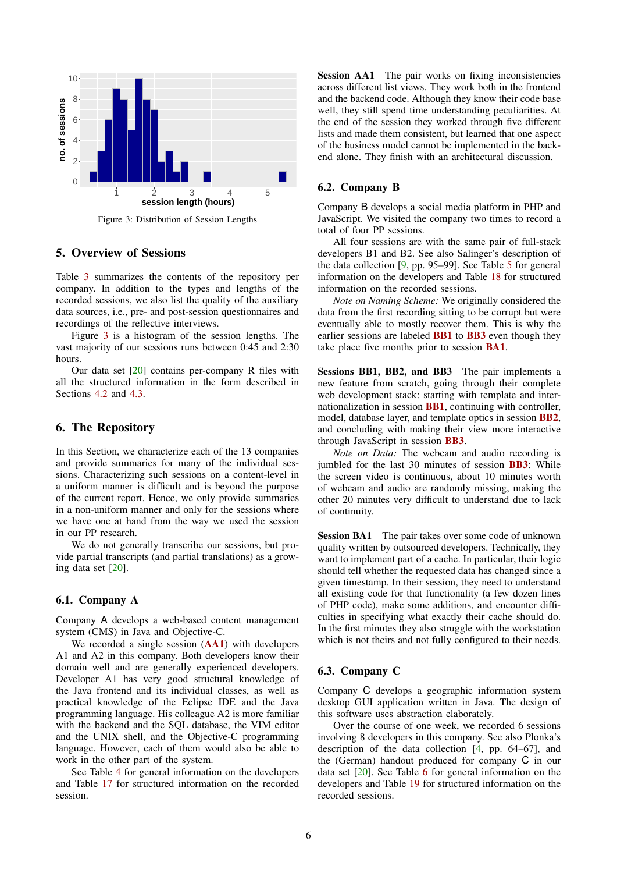<span id="page-5-5"></span>

Figure 3: Distribution of Session Lengths

## 5. Overview of Sessions

Table [3](#page-6-6) summarizes the contents of the repository per company. In addition to the types and lengths of the recorded sessions, we also list the quality of the auxiliary data sources, i.e., pre- and post-session questionnaires and recordings of the reflective interviews.

Figure [3](#page-5-5) is a histogram of the session lengths. The vast majority of our sessions runs between 0:45 and 2:30 hours.

Our data set [\[20\]](#page-12-7) contains per-company R files with all the structured information in the form described in Sections [4.2](#page-3-2) and [4.3.](#page-4-0)

## <span id="page-5-0"></span>6. The Repository

In this Section, we characterize each of the 13 companies and provide summaries for many of the individual sessions. Characterizing such sessions on a content-level in a uniform manner is difficult and is beyond the purpose of the current report. Hence, we only provide summaries in a non-uniform manner and only for the sessions where we have one at hand from the way we used the session in our PP research.

We do not generally transcribe our sessions, but provide partial transcripts (and partial translations) as a growing data set [\[20\]](#page-12-7).

### <span id="page-5-1"></span>6.1. Company A

Company A develops a web-based content management system (CMS) in Java and Objective-C.

We recorded a single session ([AA1](#page-5-6)) with developers A1 and A2 in this company. Both developers know their domain well and are generally experienced developers. Developer A1 has very good structural knowledge of the Java frontend and its individual classes, as well as practical knowledge of the Eclipse IDE and the Java programming language. His colleague A2 is more familiar with the backend and the SQL database, the VIM editor and the UNIX shell, and the Objective-C programming language. However, each of them would also be able to work in the other part of the system.

<span id="page-5-6"></span>See Table [4](#page-6-7) for general information on the developers and Table [17](#page-13-0) for structured information on the recorded session.

Session AA1 The pair works on fixing inconsistencies across different list views. They work both in the frontend and the backend code. Although they know their code base well, they still spend time understanding peculiarities. At the end of the session they worked through five different lists and made them consistent, but learned that one aspect of the business model cannot be implemented in the backend alone. They finish with an architectural discussion.

### <span id="page-5-2"></span>6.2. Company B

Company B develops a social media platform in PHP and JavaScript. We visited the company two times to record a total of four PP sessions.

All four sessions are with the same pair of full-stack developers B1 and B2. See also Salinger's description of the data collection [\[9,](#page-12-14) pp. 95–99]. See Table [5](#page-6-8) for general information on the developers and Table [18](#page-13-1) for structured information on the recorded sessions.

*Note on Naming Scheme:* We originally considered the data from the first recording sitting to be corrupt but were eventually able to mostly recover them. This is why the earlier sessions are labeled **[BB1](#page-5-7)** to **[BB3](#page-5-7)** even though they take place five months prior to session [BA1](#page-5-8).

<span id="page-5-7"></span>Sessions BB1, BB2, and BB3 The pair implements a new feature from scratch, going through their complete web development stack: starting with template and internationalization in session [BB1](#page-5-7), continuing with controller, model, database layer, and template optics in session [BB2](#page-5-7), and concluding with making their view more interactive through JavaScript in session [BB3](#page-5-7).

*Note on Data:* The webcam and audio recording is jumbled for the last 30 minutes of session [BB3](#page-5-7): While the screen video is continuous, about 10 minutes worth of webcam and audio are randomly missing, making the other 20 minutes very difficult to understand due to lack of continuity.

<span id="page-5-8"></span>Session BA1 The pair takes over some code of unknown quality written by outsourced developers. Technically, they want to implement part of a cache. In particular, their logic should tell whether the requested data has changed since a given timestamp. In their session, they need to understand all existing code for that functionality (a few dozen lines of PHP code), make some additions, and encounter difficulties in specifying what exactly their cache should do. In the first minutes they also struggle with the workstation which is not theirs and not fully configured to their needs.

#### <span id="page-5-3"></span>6.3. Company C

Company C develops a geographic information system desktop GUI application written in Java. The design of this software uses abstraction elaborately.

<span id="page-5-4"></span>Over the course of one week, we recorded 6 sessions involving 8 developers in this company. See also Plonka's description of the data collection [\[4,](#page-12-8) pp. 64–67], and the (German) handout produced for company C in our data set [\[20\]](#page-12-7). See Table [6](#page-6-9) for general information on the developers and Table [19](#page-13-2) for structured information on the recorded sessions.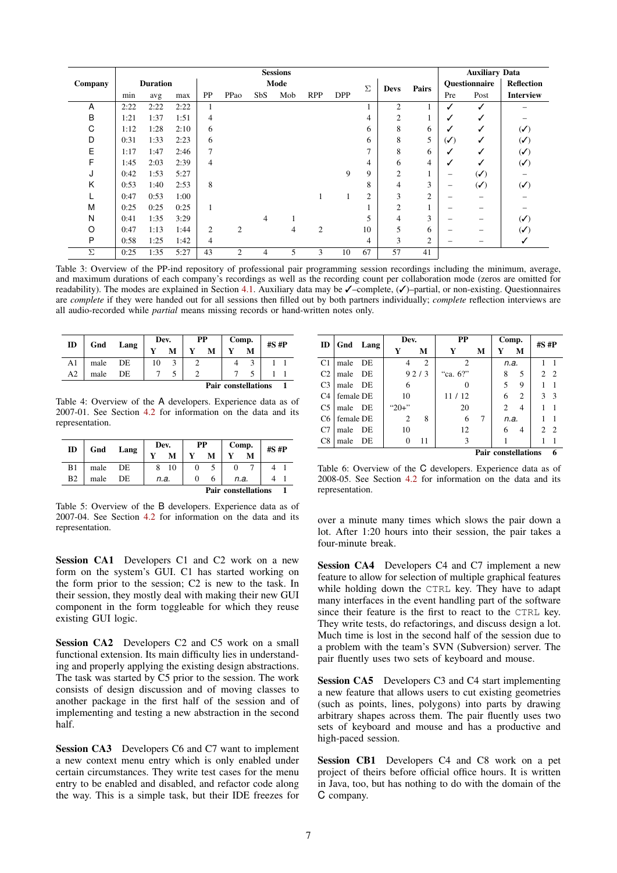<span id="page-6-6"></span>

|         |      |                 |      |                |                |                 | <b>Sessions</b> |                |            |                |                |                |                              | <b>Auxiliary Data</b>                  |                                        |
|---------|------|-----------------|------|----------------|----------------|-----------------|-----------------|----------------|------------|----------------|----------------|----------------|------------------------------|----------------------------------------|----------------------------------------|
| Company |      | <b>Duration</b> |      |                |                |                 | Mode            |                |            | Σ              | <b>Devs</b>    | Pairs          |                              | Questionnaire                          | <b>Reflection</b>                      |
|         | min  | avg             | max  | PP             | PPao           | Sb <sub>S</sub> | Mob             | <b>RPP</b>     | <b>DPP</b> |                |                |                | Pre                          | Post                                   | <b>Interview</b>                       |
| Α       | 2:22 | 2:22            | 2:22 | $\mathbf{1}$   |                |                 |                 |                |            |                | $\overline{2}$ |                | √                            | ✓                                      |                                        |
| В       | 1:21 | 1:37            | 1:51 | $\overline{4}$ |                |                 |                 |                |            | 4              | 2              |                | ✓                            | ✓                                      |                                        |
| С       | 1:12 | 1:28            | 2:10 | 6              |                |                 |                 |                |            | 6              | 8              | 6              | √                            | ✓                                      | $(\checkmark)$                         |
| D       | 0:31 | 1:33            | 2:23 | 6              |                |                 |                 |                |            | 6              | 8              | 5              | $(\boldsymbol{\mathcal{N}})$ | ✓                                      | $(\checkmark)$                         |
| E       | 1:17 | 1:47            | 2:46 | $\overline{7}$ |                |                 |                 |                |            |                | 8              | 6              | ✓                            | ✓                                      | $(\checkmark)$                         |
| F       | 1:45 | 2:03            | 2:39 | $\overline{4}$ |                |                 |                 |                |            | 4              | 6              | 4              | √                            | ✓                                      | $(\checkmark)$                         |
| J       | 0:42 | 1:53            | 5:27 |                |                |                 |                 |                | 9          | 9              | $\overline{2}$ |                | -                            | $\left(\boldsymbol{\checkmark}\right)$ |                                        |
| K       | 0:53 | 1:40            | 2:53 | 8              |                |                 |                 |                |            | 8              | 4              | 3              | -                            | $\left(\boldsymbol{\checkmark}\right)$ | $\left(\boldsymbol{\checkmark}\right)$ |
|         | 0:47 | 0:53            | 1:00 |                |                |                 |                 |                |            | $\overline{2}$ | 3              | $\overline{2}$ | -                            |                                        |                                        |
| M       | 0:25 | 0:25            | 0:25 | $\mathbf{1}$   |                |                 |                 |                |            |                | $\overline{2}$ |                | $\qquad \qquad$              |                                        |                                        |
| Ν       | 0:41 | 1:35            | 3:29 |                |                | 4               |                 |                |            | 5              | 4              | 3              |                              |                                        | $(\checkmark)$                         |
| O       | 0:47 | 1:13            | 1:44 | $\overline{2}$ | $\overline{2}$ |                 | 4               | $\overline{2}$ |            | 10             | 5              | 6              | -                            |                                        | $(\checkmark)$                         |
| P       | 0:58 | 1:25            | 1:42 | $\overline{4}$ |                |                 |                 |                |            | 4              | 3              | $\mathfrak{2}$ |                              |                                        |                                        |
| Σ       | 0:25 | 1:35            | 5:27 | 43             | $\overline{2}$ | 4               | 5               | 3              | 10         | 67             | 57             | 41             |                              |                                        |                                        |

Table 3: Overview of the PP-ind repository of professional pair programming session recordings including the minimum, average, and maximum durations of each company's recordings as well as the recording count per collaboration mode (zeros are omitted for readability). The modes are explained in Section [4.1.](#page-3-1) Auxiliary data may be ✓–complete, (✓)–partial, or non-existing. Questionnaires are *complete* if they were handed out for all sessions then filled out by both partners individually; *complete* reflection interviews are all audio-recorded while *partial* means missing records or hand-written notes only.

<span id="page-6-7"></span>

| ID                         | Gnd  | Lang | Dev. |   | PP |   | Comp. |   | $#S$ # $P$ |  |
|----------------------------|------|------|------|---|----|---|-------|---|------------|--|
|                            |      |      | v    | M |    | М |       | M |            |  |
| A <sub>1</sub>             | male | DE   | 10   |   |    |   |       |   |            |  |
| A <sub>2</sub>             | male | DE   |      |   |    |   |       |   |            |  |
| <b>Pair constellations</b> |      |      |      |   |    |   |       |   |            |  |

Table 4: Overview of the A developers. Experience data as of 2007-01. See Section [4.2](#page-3-2) for information on the data and its representation.

<span id="page-6-8"></span>

|                |                            | Lang | Dev. |      | РP |   | Comp. |   | $#S$ # $P$ |  |
|----------------|----------------------------|------|------|------|----|---|-------|---|------------|--|
| ID             | Gnd                        |      |      | М    |    | М |       | M |            |  |
| B1             | male                       | DE   |      | 10   |    |   |       |   |            |  |
| B <sub>2</sub> | male                       | DE   |      | n.a. |    |   | n.a.  |   |            |  |
|                | <b>Pair constellations</b> |      |      |      |    |   |       |   |            |  |

Table 5: Overview of the B developers. Experience data as of 2007-04. See Section [4.2](#page-3-2) for information on the data and its representation.

Session CA1 Developers C1 and C2 work on a new form on the system's GUI. C1 has started working on the form prior to the session; C2 is new to the task. In their session, they mostly deal with making their new GUI component in the form toggleable for which they reuse existing GUI logic.

<span id="page-6-1"></span>Session CA2 Developers C2 and C5 work on a small functional extension. Its main difficulty lies in understanding and properly applying the existing design abstractions. The task was started by C5 prior to the session. The work consists of design discussion and of moving classes to another package in the first half of the session and of implementing and testing a new abstraction in the second half.

<span id="page-6-5"></span>Session CA3 Developers C6 and C7 want to implement a new context menu entry which is only enabled under certain circumstances. They write test cases for the menu entry to be enabled and disabled, and refactor code along the way. This is a simple task, but their IDE freezes for

<span id="page-6-9"></span>

| ID             |           | Gnd Lang | Dev.      |                | PP             | Comp. |                            | #S #P          |                |                |
|----------------|-----------|----------|-----------|----------------|----------------|-------|----------------------------|----------------|----------------|----------------|
|                |           |          | Y         | М              | Y              | м     | Y                          | М              |                |                |
| C <sub>1</sub> | male      | DE       | 4         | $\overline{c}$ | $\overline{c}$ |       | n.a.                       |                |                |                |
| C <sub>2</sub> | male      | - DE     |           | 92/3           | "ca. 6?"       |       | 8                          | 5              |                | 2 <sub>2</sub> |
| C <sub>3</sub> | male DE   |          | 6         |                |                |       | 5                          | 9              |                |                |
| C <sub>4</sub> | female DE |          | 10        |                | 11/12          |       | 6                          | $\overline{c}$ | 3              | -3             |
| C <sub>5</sub> | male DE   |          | " $20+$ " |                | 20             |       | $\mathfrak{D}$             | $\overline{4}$ |                |                |
| C <sub>6</sub> | female DE |          | 2         | 8              | 6              | 7     | n.a.                       |                |                |                |
| C7             | male      | DE       | 10        |                | 12             |       | 6                          | $\overline{4}$ | $\mathfrak{D}$ | - 2            |
| C8             | male      | - DE     | $\theta$  | 11             | 3              |       |                            |                |                |                |
|                |           |          |           |                |                |       | <b>Pair constellations</b> |                |                | 6              |

Table 6: Overview of the C developers. Experience data as of 2008-05. See Section [4.2](#page-3-2) for information on the data and its representation.

over a minute many times which slows the pair down a lot. After 1:20 hours into their session, the pair takes a four-minute break.

<span id="page-6-3"></span>Session CA4 Developers C4 and C7 implement a new feature to allow for selection of multiple graphical features while holding down the CTRL key. They have to adapt many interfaces in the event handling part of the software since their feature is the first to react to the CTRL key. They write tests, do refactorings, and discuss design a lot. Much time is lost in the second half of the session due to a problem with the team's SVN (Subversion) server. The pair fluently uses two sets of keyboard and mouse.

<span id="page-6-4"></span>Session CA5 Developers C3 and C4 start implementing a new feature that allows users to cut existing geometries (such as points, lines, polygons) into parts by drawing arbitrary shapes across them. The pair fluently uses two sets of keyboard and mouse and has a productive and high-paced session.

<span id="page-6-2"></span><span id="page-6-0"></span>Session CB1 Developers C4 and C8 work on a pet project of theirs before official office hours. It is written in Java, too, but has nothing to do with the domain of the C company.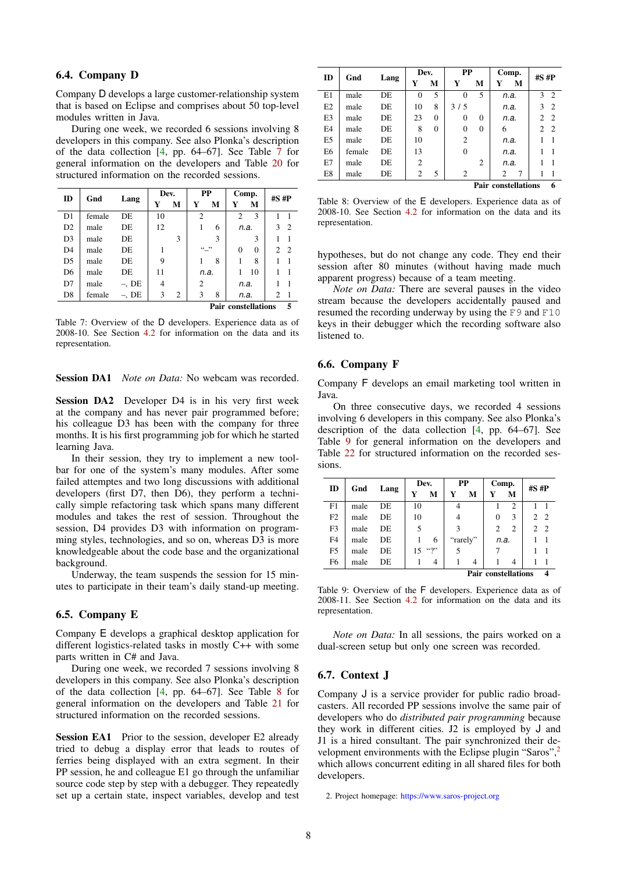## 6.4. Company D

Company D develops a large customer-relationship system that is based on Eclipse and comprises about 50 top-level modules written in Java.

During one week, we recorded 6 sessions involving 8 developers in this company. See also Plonka's description of the data collection [\[4,](#page-12-8) pp. 64–67]. See Table [7](#page-7-3) for general information on the developers and Table [20](#page-14-0) for structured information on the recorded sessions.

<span id="page-7-3"></span>

| ID             | Gnd    |          | Dev. |   |                | PP     |                            | Comp.    | $#S$ # $P$                  |                |
|----------------|--------|----------|------|---|----------------|--------|----------------------------|----------|-----------------------------|----------------|
|                |        | Lang     | Y    | М | Y              | M      | Y                          | М        |                             |                |
| D1             | female | DE.      | 10   |   | $\overline{c}$ |        | $\mathfrak{D}$             | 3        |                             |                |
| D <sub>2</sub> | male   | DE.      | 12   |   | 1<br>6         |        | n.a.                       |          | 3                           | $\overline{c}$ |
| D <sub>3</sub> | male   | DE.      |      | 3 |                | 3      |                            | 3        |                             |                |
| D <sub>4</sub> | male   | DE.      |      |   |                | (0, 0) |                            | $\Omega$ | $\mathcal{D}_{\mathcal{L}}$ | 2              |
| D <sub>5</sub> | male   | DE       | 9    |   | 1              | 8      | 1                          | 8        |                             |                |
| D <sub>6</sub> | male   | DE.      | 11   |   |                | n.a.   |                            | 10       |                             |                |
| D7             | male   | $-$ , DE | 4    |   | 2              |        |                            | n.a.     |                             |                |
| D <sub>8</sub> | female | $-$ , DE | 3    | 2 | 3<br>8         |        | n.a.                       |          | $\overline{c}$              | $\overline{1}$ |
|                |        |          |      |   |                |        | <b>Pair constellations</b> |          |                             | 5              |

Table 7: Overview of the D developers. Experience data as of 2008-10. See Section [4.2](#page-3-2) for information on the data and its representation.

<span id="page-7-9"></span><span id="page-7-7"></span>Session DA1 *Note on Data:* No webcam was recorded.

Session DA2 Developer D4 is in his very first week at the company and has never pair programmed before; his colleague D3 has been with the company for three months. It is his first programming job for which he started learning Java.

In their session, they try to implement a new toolbar for one of the system's many modules. After some failed attemptes and two long discussions with additional developers (first D7, then D6), they perform a technically simple refactoring task which spans many different modules and takes the rest of session. Throughout the session, D4 provides D3 with information on programming styles, technologies, and so on, whereas D3 is more knowledgeable about the code base and the organizational background.

Underway, the team suspends the session for 15 minutes to participate in their team's daily stand-up meeting.

#### <span id="page-7-0"></span>6.5. Company E

Company E develops a graphical desktop application for different logistics-related tasks in mostly C++ with some parts written in C# and Java.

During one week, we recorded 7 sessions involving 8 developers in this company. See also Plonka's description of the data collection [\[4,](#page-12-8) pp. 64–67]. See Table [8](#page-7-4) for general information on the developers and Table [21](#page-14-1) for structured information on the recorded sessions.

<span id="page-7-8"></span>Session EA1 Prior to the session, developer E2 already tried to debug a display error that leads to routes of ferries being displayed with an extra segment. In their PP session, he and colleague E1 go through the unfamiliar source code step by step with a debugger. They repeatedly set up a certain state, inspect variables, develop and test

<span id="page-7-4"></span>

| ID             | Gnd    |      | Dev.           |          | PP             |          | Comp.                      | $#S$ # $P$                       |
|----------------|--------|------|----------------|----------|----------------|----------|----------------------------|----------------------------------|
|                |        | Lang | Y              | М        | Y              | М        | Y<br>М                     |                                  |
| E1             | male   | DE   | $\Omega$       | 5        | 0              | 5        | n.a.                       | 2<br>3                           |
| E <sub>2</sub> | male   | DE.  | 10             | 8        | 3/5            |          | n.a.                       | 3<br>$\overline{2}$              |
| E <sub>3</sub> | male   | DE.  | 23             | $\Omega$ | 0              | $\Omega$ | n.a.                       | $\mathfrak{D}$<br>$\overline{2}$ |
| E4             | male   | DE   | 8              | $\Omega$ | $\theta$       | $\Omega$ | 6                          | $\mathfrak{D}$<br>$\overline{2}$ |
| E <sub>5</sub> | male   | DE   | 10             |          | $\overline{2}$ |          | n.a.                       |                                  |
| E6             | female | DE.  | 13             |          | $\theta$       |          | n.a.                       |                                  |
| E7             | male   | DE.  | $\overline{c}$ |          |                | 2        | n.a.                       |                                  |
| E8             | male   | DE.  | $\overline{c}$ | 5        | 2              |          | $\overline{c}$<br>7        |                                  |
|                |        |      |                |          |                |          | <b>Pair constellations</b> | 6                                |

Table 8: Overview of the E developers. Experience data as of 2008-10. See Section [4.2](#page-3-2) for information on the data and its representation.

hypotheses, but do not change any code. They end their session after 80 minutes (without having made much apparent progress) because of a team meeting.

*Note on Data:* There are several pauses in the video stream because the developers accidentally paused and resumed the recording underway by using the F9 and F10 keys in their debugger which the recording software also listened to.

#### <span id="page-7-1"></span>6.6. Company F

Company F develops an email marketing tool written in Java.

On three consecutive days, we recorded 4 sessions involving 6 developers in this company. See also Plonka's description of the data collection [\[4,](#page-12-8) pp. 64–67]. See Table [9](#page-7-5) for general information on the developers and Table [22](#page-14-2) for structured information on the recorded sessions.

<span id="page-7-5"></span>

| ID             | Gnd  | Lang                       |    | Dev.     |   | PP       | Comp. |                | $#S$ # $P$                       |  |  |
|----------------|------|----------------------------|----|----------|---|----------|-------|----------------|----------------------------------|--|--|
|                |      |                            | Y  | М        | Y | М        | Y     | M              |                                  |  |  |
| F1             | male | DE                         | 10 |          | 4 |          |       | $\overline{c}$ |                                  |  |  |
| F2             | male | DE                         | 10 |          | 4 |          | 0     | 3              | $\overline{2}$<br>$\mathfrak{D}$ |  |  |
| F <sub>3</sub> | male | DE                         | 5  |          | 3 |          | 2     | 2              | $\overline{2}$<br>2              |  |  |
| F <sub>4</sub> | male | DE                         |    | 6        |   | "rarely" | n.a.  |                |                                  |  |  |
| F <sub>5</sub> | male | DE                         | 15 | $\cdots$ |   |          |       |                |                                  |  |  |
| F6             | male | DE                         |    | 4        | 4 |          |       | 4              |                                  |  |  |
|                |      | <b>Pair constellations</b> |    |          |   |          |       |                |                                  |  |  |

Table 9: Overview of the F developers. Experience data as of 2008-11. See Section [4.2](#page-3-2) for information on the data and its representation.

*Note on Data:* In all sessions, the pairs worked on a dual-screen setup but only one screen was recorded.

## <span id="page-7-2"></span>6.7. Context J

Company J is a service provider for public radio broadcasters. All recorded PP sessions involve the same pair of developers who do *distributed pair programming* because they work in different cities. J2 is employed by J and J1 is a hired consultant. The pair synchronized their de-velopment environments with the Eclipse plugin "Saros",<sup>[2](#page-7-6)</sup> which allows concurrent editing in all shared files for both developers.

<span id="page-7-6"></span><sup>2.</sup> Project homepage: <https://www.saros-project.org>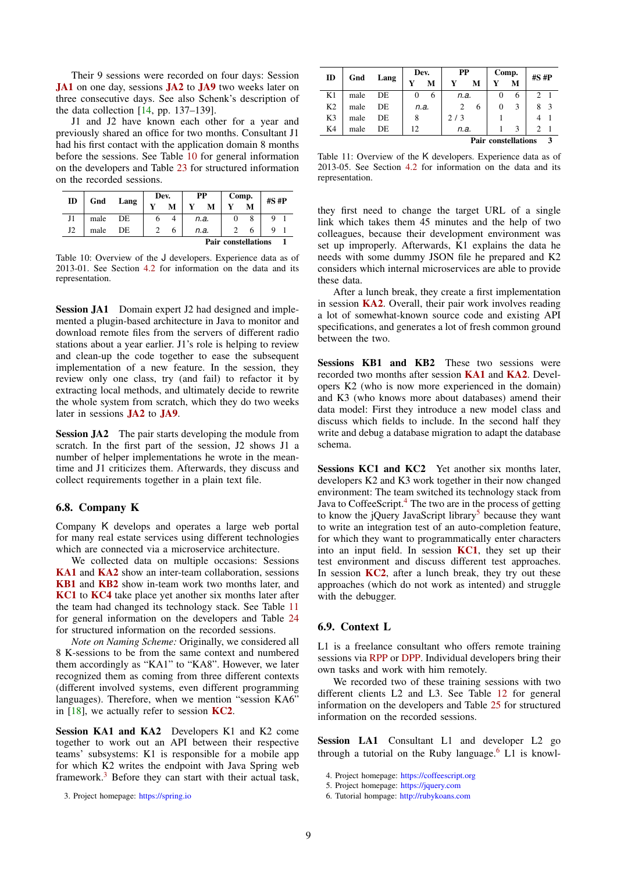Their 9 sessions were recorded on four days: Session [JA1](#page-8-2) on one day, sessions [JA2](#page-8-3) to [JA9](#page-7-2) two weeks later on three consecutive days. See also Schenk's description of the data collection [\[14,](#page-12-9) pp. 137–139].

J1 and J2 have known each other for a year and previously shared an office for two months. Consultant J1 had his first contact with the application domain 8 months before the sessions. See Table [10](#page-8-4) for general information on the developers and Table [23](#page-14-3) for structured information on the recorded sessions.

<span id="page-8-4"></span>

| ID | Gnd  | Lang | Dev. |   | PP                         |      | Comp. |   | $#S$ # $P$ |  |  |  |
|----|------|------|------|---|----------------------------|------|-------|---|------------|--|--|--|
|    |      |      |      | М |                            | M    |       | M |            |  |  |  |
| J1 | male | DE   |      |   |                            | n.a. |       |   |            |  |  |  |
| J2 | male | DE   |      |   | n.a.                       |      |       |   |            |  |  |  |
|    |      |      |      |   | <b>Pair constellations</b> |      |       |   |            |  |  |  |

Table 10: Overview of the J developers. Experience data as of 2013-01. See Section [4.2](#page-3-2) for information on the data and its representation.

<span id="page-8-2"></span>Session JA1 Domain expert J2 had designed and implemented a plugin-based architecture in Java to monitor and download remote files from the servers of different radio stations about a year earlier. J1's role is helping to review and clean-up the code together to ease the subsequent implementation of a new feature. In the session, they review only one class, try (and fail) to refactor it by extracting local methods, and ultimately decide to rewrite the whole system from scratch, which they do two weeks later in sessions [JA2](#page-8-3) to [JA9](#page-7-2).

<span id="page-8-3"></span>Session JA2 The pair starts developing the module from scratch. In the first part of the session, J2 shows J1 a number of helper implementations he wrote in the meantime and J1 criticizes them. Afterwards, they discuss and collect requirements together in a plain text file.

## <span id="page-8-0"></span>6.8. Company K

Company K develops and operates a large web portal for many real estate services using different technologies which are connected via a microservice architecture.

We collected data on multiple occasions: Sessions [KA1](#page-8-5) and [KA2](#page-8-5) show an inter-team collaboration, sessions [KB1](#page-8-6) and [KB2](#page-8-6) show in-team work two months later, and [KC1](#page-8-7) to [KC4](#page-8-0) take place yet another six months later after the team had changed its technology stack. See Table [11](#page-8-8) for general information on the developers and Table [24](#page-14-4) for structured information on the recorded sessions.

*Note on Naming Scheme:* Originally, we considered all 8 K-sessions to be from the same context and numbered them accordingly as "KA1" to "KA8". However, we later recognized them as coming from three different contexts (different involved systems, even different programming languages). Therefore, when we mention "session KA6" in  $[18]$ , we actually refer to session **[KC2](#page-8-7)**.

<span id="page-8-5"></span>Session KA1 and KA2 Developers K1 and K2 come together to work out an API between their respective teams' subsystems: K1 is responsible for a mobile app for which K2 writes the endpoint with Java Spring web framework. $3$  Before they can start with their actual task,

<span id="page-8-9"></span>3. Project homepage: <https://spring.io>

<span id="page-8-8"></span>

| ID             | Gnd  | Lang | Dev. |   | PP             |   | Comp.                      |   | $#S$ # $P$ |               |
|----------------|------|------|------|---|----------------|---|----------------------------|---|------------|---------------|
|                |      |      | Y    | М | Y              | м |                            | м |            |               |
| K1             | male | DE.  | 0    | 6 | n.a.           |   |                            | 6 | C          |               |
| K <sub>2</sub> | male | DE   | n.a. |   | $\overline{c}$ | 6 | 0                          | 3 | 8          | $\mathcal{R}$ |
| K3             | male | DE   | 8    |   | 2/3            |   |                            |   |            |               |
| K4             | male | DE   | 12   |   | n.a.           |   | 3                          |   |            |               |
|                |      |      |      |   |                |   | <b>Pair constellations</b> |   |            | 3             |

Table 11: Overview of the K developers. Experience data as of 2013-05. See Section [4.2](#page-3-2) for information on the data and its representation.

they first need to change the target URL of a single link which takes them 45 minutes and the help of two colleagues, because their development environment was set up improperly. Afterwards,  $\tilde{K}1$  explains the data he needs with some dummy JSON file he prepared and K2 considers which internal microservices are able to provide these data.

After a lunch break, they create a first implementation in session [KA2](#page-8-5). Overall, their pair work involves reading a lot of somewhat-known source code and existing API specifications, and generates a lot of fresh common ground between the two.

<span id="page-8-6"></span>Sessions KB1 and KB2 These two sessions were recorded two months after session [KA1](#page-8-5) and [KA2](#page-8-5). Developers K2 (who is now more experienced in the domain) and K3 (who knows more about databases) amend their data model: First they introduce a new model class and discuss which fields to include. In the second half they write and debug a database migration to adapt the database schema.

<span id="page-8-7"></span>Sessions KC1 and KC2 Yet another six months later, developers K2 and K3 work together in their now changed environment: The team switched its technology stack from Java to CoffeeScript.<sup>[4](#page-8-10)</sup> The two are in the process of getting to know the jQuery JavaScript library<sup>[5](#page-8-11)</sup> because they want to write an integration test of an auto-completion feature, for which they want to programmatically enter characters into an input field. In session [KC1](#page-8-7), they set up their test environment and discuss different test approaches. In session  $KC2$ , after a lunch break, they try out these approaches (which do not work as intented) and struggle with the debugger.

#### <span id="page-8-1"></span>6.9. Context L

L1 is a freelance consultant who offers remote training sessions via [RPP](#page-3-1) or [DPP.](#page-3-1) Individual developers bring their own tasks and work with him remotely.

We recorded two of these training sessions with two different clients L2 and L3. See Table [12](#page-9-3) for general information on the developers and Table [25](#page-14-5) for structured information on the recorded sessions.

<span id="page-8-13"></span>Session LA1 Consultant L1 and developer L2 go through a tutorial on the Ruby language.<sup>[6](#page-8-12)</sup> L1 is knowl-

- <span id="page-8-11"></span>5. Project homepage: <https://jquery.com>
- <span id="page-8-12"></span>6. Tutorial hompage: <http://rubykoans.com>

<span id="page-8-10"></span><sup>4.</sup> Project homepage: <https://coffeescript.org>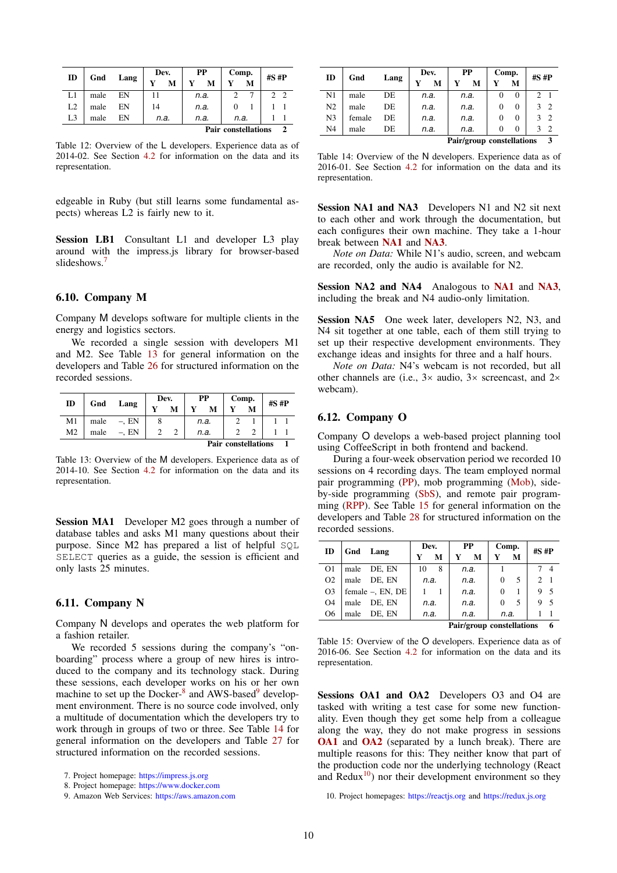<span id="page-9-3"></span>

| ID             | Gnd  |      | Dev. |   | PP   | Comp.                      |   | $#S$ # $P$ |  |
|----------------|------|------|------|---|------|----------------------------|---|------------|--|
|                |      | Lang |      | М | M    | Y                          | м |            |  |
| L1             | male | EN   | 11   |   | n.a. |                            |   |            |  |
| L2             | male | ΕN   | 14   |   | n.a. |                            |   |            |  |
| L <sub>3</sub> | male | FΝ   | n.a. |   | n.a. | n.a.                       |   |            |  |
|                |      |      |      |   |      | <b>Pair constellations</b> |   |            |  |

Table 12: Overview of the L developers. Experience data as of 2014-02. See Section [4.2](#page-3-2) for information on the data and its representation.

edgeable in Ruby (but still learns some fundamental aspects) whereas L2 is fairly new to it.

<span id="page-9-13"></span>Session LB1 Consultant L1 and developer L3 play around with the impress.js library for browser-based slideshows.<sup>[7](#page-9-4)</sup>

## <span id="page-9-0"></span>6.10. Company M

Company M develops software for multiple clients in the energy and logistics sectors.

We recorded a single session with developers M1 and M2. See Table [13](#page-9-5) for general information on the developers and Table [26](#page-15-0) for structured information on the recorded sessions.

<span id="page-9-5"></span>

| ID             | Gnd  | Lang     | Dev.   |  |      | PP   | Comp.                      |   | $#S$ # $P$ |  |
|----------------|------|----------|--------|--|------|------|----------------------------|---|------------|--|
|                |      |          | v<br>M |  |      |      |                            | М |            |  |
| M1             | male | $-$ , EN |        |  |      | n.a. |                            |   |            |  |
| M <sub>2</sub> | male | $-$ . EN |        |  | n.a. |      |                            |   |            |  |
|                |      |          |        |  |      |      | <b>Pair constellations</b> |   |            |  |

Table 13: Overview of the M developers. Experience data as of 2014-10. See Section [4.2](#page-3-2) for information on the data and its representation.

<span id="page-9-14"></span>Session MA1 Developer M2 goes through a number of database tables and asks M1 many questions about their purpose. Since M2 has prepared a list of helpful SQL SELECT queries as a guide, the session is efficient and only lasts 25 minutes.

#### <span id="page-9-1"></span>6.11. Company N

Company N develops and operates the web platform for a fashion retailer.

We recorded 5 sessions during the company's "onboarding" process where a group of new hires is introduced to the company and its technology stack. During these sessions, each developer works on his or her own machine to set up the Docker-<sup>[8](#page-9-6)</sup> and AWS-based<sup>[9](#page-9-7)</sup> development environment. There is no source code involved, only a multitude of documentation which the developers try to work through in groups of two or three. See Table [14](#page-9-8) for general information on the developers and Table [27](#page-15-1) for structured information on the recorded sessions.

<span id="page-9-8"></span>

| ID             | Gnd    | Lang |      | Dev. |                           | РP   | Comp. |   | $#S$ # $P$  |                |
|----------------|--------|------|------|------|---------------------------|------|-------|---|-------------|----------------|
|                |        |      | Y    | М    |                           | М    |       | м |             |                |
| N1             | male   | DE   |      | n.a. |                           | n.a. |       | 0 | $2 \quad 1$ |                |
| N <sub>2</sub> | male   | DE   |      | n.a. |                           | n.a. |       | 0 | 3           | $\overline{2}$ |
| N <sub>3</sub> | female | DE   |      | n.a. | n.a.                      |      |       | 0 | 3           | $\overline{2}$ |
| N <sub>4</sub> | male   | DE   | n.a. |      | n.a.                      |      |       | 0 | ٦           | $\overline{2}$ |
|                |        |      |      |      | Pair/group constellations |      |       |   | 3           |                |

Table 14: Overview of the N developers. Experience data as of 2016-01. See Section [4.2](#page-3-2) for information on the data and its representation.

Session NA1 and NA3 Developers N1 and N2 sit next to each other and work through the documentation, but each configures their own machine. They take a 1-hour break between [NA1](#page-9-9) and [NA3](#page-9-9).

*Note on Data:* While N1's audio, screen, and webcam are recorded, only the audio is available for N2.

<span id="page-9-15"></span>Session NA2 and NA4 Analogous to [NA1](#page-9-9) and [NA3](#page-9-9), including the break and N4 audio-only limitation.

<span id="page-9-16"></span>Session NA5 One week later, developers N2, N3, and N4 sit together at one table, each of them still trying to set up their respective development environments. They exchange ideas and insights for three and a half hours.

*Note on Data:* N4's webcam is not recorded, but all other channels are (i.e., 3× audio, 3× screencast, and 2× webcam).

## <span id="page-9-2"></span>6.12. Company O

Company O develops a web-based project planning tool using CoffeeScript in both frontend and backend.

During a four-week observation period we recorded 10 sessions on 4 recording days. The team employed normal pair programming [\(PP\)](#page-3-1), mob programming [\(Mob\)](#page-3-1), sideby-side programming [\(SbS\)](#page-3-1), and remote pair programming [\(RPP\)](#page-3-1). See Table [15](#page-9-10) for general information on the developers and Table [28](#page-15-2) for structured information on the recorded sessions.

<span id="page-9-10"></span>

| ID             |      | Gnd Lang         | Dev. |      |      | PP                        | Comp.    |   | $#S$ # $P$  |                |
|----------------|------|------------------|------|------|------|---------------------------|----------|---|-------------|----------------|
|                |      |                  | Y    | M    | Y    | M                         | Y        | М |             |                |
| O <sub>1</sub> | male | DE. EN           | 10   | 8    |      | n.a.                      |          |   |             | $\overline{4}$ |
| O <sub>2</sub> |      | male DE, EN      | n.a. |      |      | n.a.                      | $\Omega$ | 5 | $2 \quad 1$ |                |
| O <sub>3</sub> |      | female -, EN, DE |      |      |      | n.a.                      | $\Omega$ |   | 9           | -5             |
| O <sub>4</sub> | male | DE. EN           |      | n.a. |      | n.a.                      | $\Omega$ | 5 |             | $\sim$         |
| O <sub>6</sub> | male | DE. EN           | n.a. |      | n.a. |                           | n.a.     |   |             |                |
|                |      |                  |      |      |      | Pair/group constellations |          |   |             | 6              |

Table 15: Overview of the O developers. Experience data as of 2016-06. See Section [4.2](#page-3-2) for information on the data and its representation.

<span id="page-9-11"></span>Sessions OA1 and OA2 Developers O3 and O4 are tasked with writing a test case for some new functionality. Even though they get some help from a colleague along the way, they do not make progress in sessions [OA1](#page-9-11) and [OA2](#page-9-11) (separated by a lunch break). There are multiple reasons for this: They neither know that part of the production code nor the underlying technology (React and  $Redux<sup>10</sup>$  $Redux<sup>10</sup>$  $Redux<sup>10</sup>$  nor their development environment so they

<span id="page-9-12"></span>10. Project homepages: <https://reactjs.org> and <https://redux.js.org>

<span id="page-9-9"></span><span id="page-9-4"></span><sup>7.</sup> Project homepage: <https://impress.js.org>

<span id="page-9-6"></span><sup>8.</sup> Project homepage: <https://www.docker.com>

<span id="page-9-7"></span><sup>9.</sup> Amazon Web Services: <https://aws.amazon.com>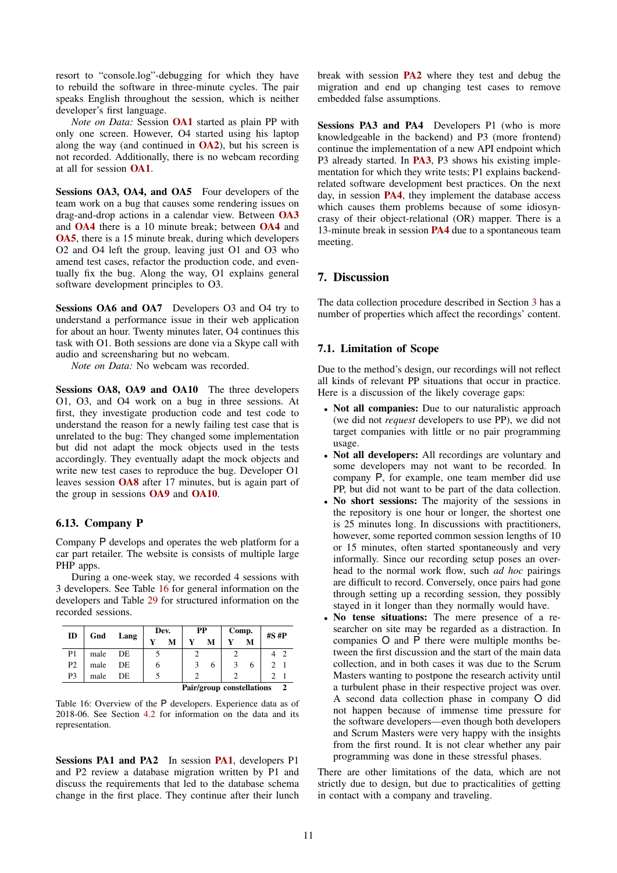resort to "console.log"-debugging for which they have to rebuild the software in three-minute cycles. The pair speaks English throughout the session, which is neither developer's first language.

*Note on Data:* Session [OA1](#page-9-11) started as plain PP with only one screen. However, O4 started using his laptop along the way (and continued in  $O(A2)$ ), but his screen is not recorded. Additionally, there is no webcam recording at all for session [OA1](#page-9-11).

<span id="page-10-3"></span>Sessions OA3, OA4, and OA5 Four developers of the team work on a bug that causes some rendering issues on drag-and-drop actions in a calendar view. Between [OA3](#page-10-3) and [OA4](#page-10-3) there is a 10 minute break; between [OA4](#page-10-3) and [OA5](#page-10-3), there is a 15 minute break, during which developers O2 and O4 left the group, leaving just O1 and O3 who amend test cases, refactor the production code, and eventually fix the bug. Along the way, O1 explains general software development principles to O3.

<span id="page-10-8"></span>Sessions OA6 and OA7 Developers O3 and O4 try to understand a performance issue in their web application for about an hour. Twenty minutes later, O4 continues this task with O1. Both sessions are done via a Skype call with audio and screensharing but no webcam.

*Note on Data:* No webcam was recorded.

<span id="page-10-4"></span>Sessions OA8, OA9 and OA10 The three developers O1, O3, and O4 work on a bug in three sessions. At first, they investigate production code and test code to understand the reason for a newly failing test case that is unrelated to the bug: They changed some implementation but did not adapt the mock objects used in the tests accordingly. They eventually adapt the mock objects and write new test cases to reproduce the bug. Developer O1 leaves session [OA8](#page-10-4) after 17 minutes, but is again part of the group in sessions [OA9](#page-10-4) and [OA10](#page-10-4).

#### <span id="page-10-0"></span>6.13. Company P

Company P develops and operates the web platform for a car part retailer. The website is consists of multiple large PHP apps.

During a one-week stay, we recorded 4 sessions with 3 developers. See Table [16](#page-10-5) for general information on the developers and Table [29](#page-15-3) for structured information on the recorded sessions.

<span id="page-10-5"></span>

| ID             |      |      | Dev. |   | PP |   | Comp.                     |   | $#S$ # $P$    |               |
|----------------|------|------|------|---|----|---|---------------------------|---|---------------|---------------|
|                | Gnd  | Lang |      | М | Y  | М | Y                         | M |               |               |
| P <sub>1</sub> | male | DE   |      |   |    |   |                           |   |               |               |
| <b>P2</b>      | male | DE   | n    |   |    | 6 | 3                         | 6 | $\mathcal{D}$ |               |
| P <sub>3</sub> | male | DE   |      |   |    |   |                           |   |               |               |
|                |      |      |      |   |    |   | Pair/group constellations |   |               | $\mathcal{L}$ |

Table 16: Overview of the P developers. Experience data as of 2018-06. See Section [4.2](#page-3-2) for information on the data and its representation.

<span id="page-10-6"></span>Sessions [PA1](#page-10-6) and PA2 In session PA1, developers P1 and P2 review a database migration written by P1 and discuss the requirements that led to the database schema change in the first place. They continue after their lunch break with session [PA2](#page-10-6) where they test and debug the migration and end up changing test cases to remove embedded false assumptions.

<span id="page-10-7"></span>Sessions PA3 and PA4 Developers P1 (who is more knowledgeable in the backend) and P3 (more frontend) continue the implementation of a new API endpoint which P3 already started. In [PA3](#page-10-7), P3 shows his existing implementation for which they write tests; P1 explains backendrelated software development best practices. On the next day, in session [PA4](#page-10-7), they implement the database access which causes them problems because of some idiosyncrasy of their object-relational (OR) mapper. There is a 13-minute break in session [PA4](#page-10-7) due to a spontaneous team meeting.

## <span id="page-10-1"></span>7. Discussion

<span id="page-10-2"></span>The data collection procedure described in Section [3](#page-1-2) has a number of properties which affect the recordings' content.

#### 7.1. Limitation of Scope

Due to the method's design, our recordings will not reflect all kinds of relevant PP situations that occur in practice. Here is a discussion of the likely coverage gaps:

- Not all companies: Due to our naturalistic approach (we did not *request* developers to use PP), we did not target companies with little or no pair programming usage.
- Not all developers: All recordings are voluntary and some developers may not want to be recorded. In company P, for example, one team member did use PP, but did not want to be part of the data collection.
- No short sessions: The majority of the sessions in the repository is one hour or longer, the shortest one is 25 minutes long. In discussions with practitioners, however, some reported common session lengths of 10 or 15 minutes, often started spontaneously and very informally. Since our recording setup poses an overhead to the normal work flow, such *ad hoc* pairings are difficult to record. Conversely, once pairs had gone through setting up a recording session, they possibly stayed in it longer than they normally would have.
- No tense situations: The mere presence of a researcher on site may be regarded as a distraction. In companies O and P there were multiple months between the first discussion and the start of the main data collection, and in both cases it was due to the Scrum Masters wanting to postpone the research activity until a turbulent phase in their respective project was over. A second data collection phase in company O did not happen because of immense time pressure for the software developers—even though both developers and Scrum Masters were very happy with the insights from the first round. It is not clear whether any pair programming was done in these stressful phases.

There are other limitations of the data, which are not strictly due to design, but due to practicalities of getting in contact with a company and traveling.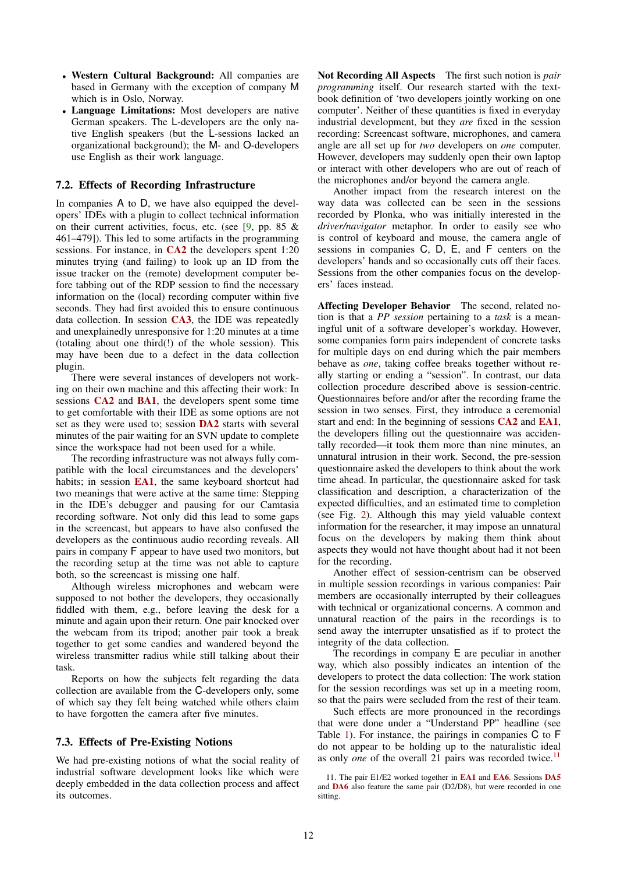- Western Cultural Background: All companies are based in Germany with the exception of company M which is in Oslo, Norway.
- Language Limitations: Most developers are native German speakers. The L-developers are the only native English speakers (but the L-sessions lacked an organizational background); the M- and O-developers use English as their work language.

#### <span id="page-11-0"></span>7.2. Effects of Recording Infrastructure

In companies A to D, we have also equipped the developers' IDEs with a plugin to collect technical information on their current activities, focus, etc. (see  $[9, pp. 85 \&$  $[9, pp. 85 \&$ 461–479]). This led to some artifacts in the programming sessions. For instance, in [CA2](#page-6-1) the developers spent 1:20 minutes trying (and failing) to look up an ID from the issue tracker on the (remote) development computer before tabbing out of the RDP session to find the necessary information on the (local) recording computer within five seconds. They had first avoided this to ensure continuous data collection. In session [CA3](#page-6-5), the IDE was repeatedly and unexplainedly unresponsive for 1:20 minutes at a time (totaling about one third(!) of the whole session). This may have been due to a defect in the data collection plugin.

There were several instances of developers not working on their own machine and this affecting their work: In sessions [CA2](#page-6-1) and [BA1](#page-5-8), the developers spent some time to get comfortable with their IDE as some options are not set as they were used to; session [DA2](#page-7-7) starts with several minutes of the pair waiting for an SVN update to complete since the workspace had not been used for a while.

The recording infrastructure was not always fully compatible with the local circumstances and the developers' habits; in session [EA1](#page-7-8), the same keyboard shortcut had two meanings that were active at the same time: Stepping in the IDE's debugger and pausing for our Camtasia recording software. Not only did this lead to some gaps in the screencast, but appears to have also confused the developers as the continuous audio recording reveals. All pairs in company F appear to have used two monitors, but the recording setup at the time was not able to capture both, so the screencast is missing one half.

Although wireless microphones and webcam were supposed to not bother the developers, they occasionally fiddled with them, e.g., before leaving the desk for a minute and again upon their return. One pair knocked over the webcam from its tripod; another pair took a break together to get some candies and wandered beyond the wireless transmitter radius while still talking about their task.

Reports on how the subjects felt regarding the data collection are available from the C-developers only, some of which say they felt being watched while others claim to have forgotten the camera after five minutes.

## <span id="page-11-1"></span>7.3. Effects of Pre-Existing Notions

We had pre-existing notions of what the social reality of industrial software development looks like which were deeply embedded in the data collection process and affect its outcomes.

Not Recording All Aspects The first such notion is *pair programming* itself. Our research started with the textbook definition of 'two developers jointly working on one computer'. Neither of these quantities is fixed in everyday industrial development, but they *are* fixed in the session recording: Screencast software, microphones, and camera angle are all set up for *two* developers on *one* computer. However, developers may suddenly open their own laptop or interact with other developers who are out of reach of the microphones and/or beyond the camera angle.

Another impact from the research interest on the way data was collected can be seen in the sessions recorded by Plonka, who was initially interested in the *driver/navigator* metaphor. In order to easily see who is control of keyboard and mouse, the camera angle of sessions in companies C, D, E, and F centers on the developers' hands and so occasionally cuts off their faces. Sessions from the other companies focus on the developers' faces instead.

Affecting Developer Behavior The second, related notion is that a *PP session* pertaining to a *task* is a meaningful unit of a software developer's workday. However, some companies form pairs independent of concrete tasks for multiple days on end during which the pair members behave as *one*, taking coffee breaks together without really starting or ending a "session". In contrast, our data collection procedure described above is session-centric. Questionnaires before and/or after the recording frame the session in two senses. First, they introduce a ceremonial start and end: In the beginning of sessions [CA2](#page-6-1) and [EA1](#page-7-8), the developers filling out the questionnaire was accidentally recorded—it took them more than nine minutes, an unnatural intrusion in their work. Second, the pre-session questionnaire asked the developers to think about the work time ahead. In particular, the questionnaire asked for task classification and description, a characterization of the expected difficulties, and an estimated time to completion (see Fig. [2\)](#page-4-2). Although this may yield valuable context information for the researcher, it may impose an unnatural focus on the developers by making them think about aspects they would not have thought about had it not been for the recording.

Another effect of session-centrism can be observed in multiple session recordings in various companies: Pair members are occasionally interrupted by their colleagues with technical or organizational concerns. A common and unnatural reaction of the pairs in the recordings is to send away the interrupter unsatisfied as if to protect the integrity of the data collection.

The recordings in company E are peculiar in another way, which also possibly indicates an intention of the developers to protect the data collection: The work station for the session recordings was set up in a meeting room, so that the pairs were secluded from the rest of their team.

Such effects are more pronounced in the recordings that were done under a "Understand PP" headline (see Table [1\)](#page-2-1). For instance, the pairings in companies C to F do not appear to be holding up to the naturalistic ideal as only *one* of the overall 21 pairs was recorded twice.<sup>[11](#page-11-2)</sup>

<span id="page-11-2"></span><sup>11.</sup> The pair E1/E2 worked together in [EA1](#page-7-8) and [EA6](#page-7-0). Sessions [DA5](#page-6-0) and [DA6](#page-6-0) also feature the same pair (D2/D8), but were recorded in one sitting.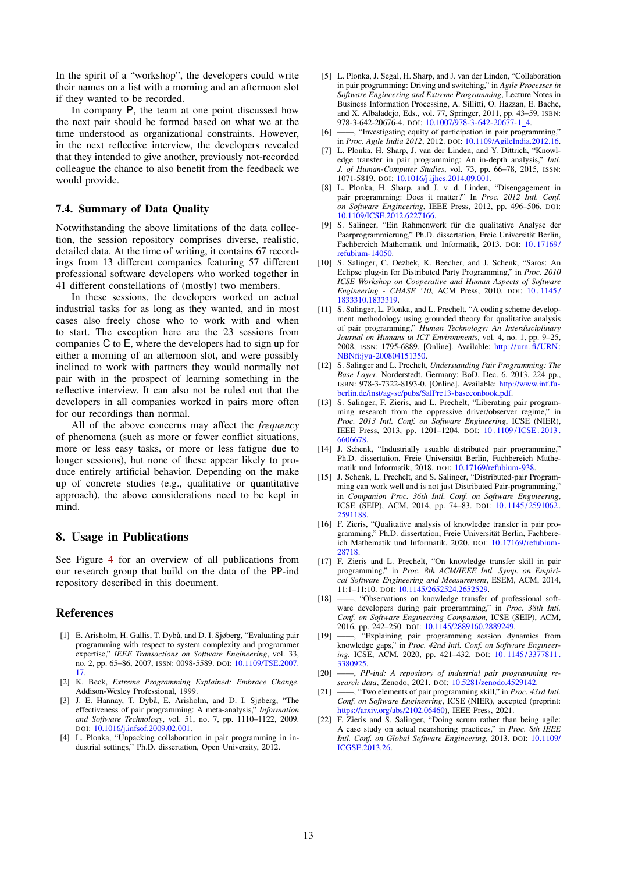In the spirit of a "workshop", the developers could write their names on a list with a morning and an afternoon slot if they wanted to be recorded.

In company P, the team at one point discussed how the next pair should be formed based on what we at the time understood as organizational constraints. However, in the next reflective interview, the developers revealed that they intended to give another, previously not-recorded colleague the chance to also benefit from the feedback we would provide.

## <span id="page-12-0"></span>7.4. Summary of Data Quality

Notwithstanding the above limitations of the data collection, the session repository comprises diverse, realistic, detailed data. At the time of writing, it contains 67 recordings from 13 different companies featuring 57 different professional software developers who worked together in 41 different constellations of (mostly) two members.

In these sessions, the developers worked on actual industrial tasks for as long as they wanted, and in most cases also freely chose who to work with and when to start. The exception here are the 23 sessions from companies C to E, where the developers had to sign up for either a morning of an afternoon slot, and were possibly inclined to work with partners they would normally not pair with in the prospect of learning something in the reflective interview. It can also not be ruled out that the developers in all companies worked in pairs more often for our recordings than normal.

All of the above concerns may affect the *frequency* of phenomena (such as more or fewer conflict situations, more or less easy tasks, or more or less fatigue due to longer sessions), but none of these appear likely to produce entirely artificial behavior. Depending on the make up of concrete studies (e.g., qualitative or quantitative approach), the above considerations need to be kept in mind.

#### <span id="page-12-1"></span>8. Usage in Publications

See Figure [4](#page-13-3) for an overview of all publications from our research group that build on the data of the PP-ind repository described in this document.

#### References

- <span id="page-12-4"></span>[1] E. Arisholm, H. Gallis, T. Dybå, and D. I. Sjøberg, "Evaluating pair programming with respect to system complexity and programmer expertise," *IEEE Transactions on Software Engineering*, vol. 33, no. 2, pp. 65–86, 2007, ISSN: 0098-5589. DOI: [10.1109/TSE.2007.](https://doi.org/10.1109/TSE.2007.17) [17.](https://doi.org/10.1109/TSE.2007.17)
- <span id="page-12-2"></span>[2] K. Beck, *Extreme Programming Explained: Embrace Change*. Addison-Wesley Professional, 1999.
- <span id="page-12-3"></span>[3] J. E. Hannay, T. Dybå, E. Arisholm, and D. I. Sjøberg, "The effectiveness of pair programming: A meta-analysis," *Information and Software Technology*, vol. 51, no. 7, pp. 1110–1122, 2009. DOI: [10.1016/j.infsof.2009.02.001.](https://doi.org/10.1016/j.infsof.2009.02.001)
- <span id="page-12-8"></span>[4] L. Plonka, "Unpacking collaboration in pair programming in industrial settings," Ph.D. dissertation, Open University, 2012.
- <span id="page-12-15"></span>[5] L. Plonka, J. Segal, H. Sharp, and J. van der Linden, "Collaboration in pair programming: Driving and switching," in *Agile Processes in Software Engineering and Extreme Programming*, Lecture Notes in Business Information Processing, A. Sillitti, O. Hazzan, E. Bache, and X. Albaladejo, Eds., vol. 77, Springer, 2011, pp. 43–59, ISBN: 978-3-642-20676-4. DOI: [10.1007/978-3-642-20677-1](https://doi.org/10.1007/978-3-642-20677-1_4) 4.
- <span id="page-12-16"></span>[6] ——, "Investigating equity of participation in pair programming," in *Proc. Agile India 2012*, 2012. DOI: [10.1109/AgileIndia.2012.16.](https://doi.org/10.1109/AgileIndia.2012.16)
- <span id="page-12-18"></span>[7] L. Plonka, H. Sharp, J. van der Linden, and Y. Dittrich, "Knowledge transfer in pair programming: An in-depth analysis," *Intl. J. of Human-Computer Studies*, vol. 73, pp. 66–78, 2015, ISSN: 1071-5819. DOI: [10.1016/j.ijhcs.2014.09.001.](https://doi.org/10.1016/j.ijhcs.2014.09.001)
- <span id="page-12-17"></span>[8] L. Plonka, H. Sharp, and J. v. d. Linden, "Disengagement in pair programming: Does it matter?" In *Proc. 2012 Intl. Conf. on Software Engineering*, IEEE Press, 2012, pp. 496–506. DOI: [10.1109/ICSE.2012.6227166.](https://doi.org/10.1109/ICSE.2012.6227166)
- <span id="page-12-14"></span>[9] S. Salinger, "Ein Rahmenwerk für die qualitative Analyse der Paarprogrammierung," Ph.D. dissertation, Freie Universität Berlin, Fachbereich Mathematik und Informatik, 2013. DOI: [10. 17169/](https://doi.org/10.17169/refubium-14050) [refubium-14050.](https://doi.org/10.17169/refubium-14050)
- <span id="page-12-13"></span>[10] S. Salinger, C. Oezbek, K. Beecher, and J. Schenk, "Saros: An Eclipse plug-in for Distributed Party Programming," in *Proc. 2010 ICSE Workshop on Cooperative and Human Aspects of Software Engineering - CHASE '10*, ACM Press, 2010. DOI: [10 . 1145 /](https://doi.org/10.1145/1833310.1833319) [1833310.1833319.](https://doi.org/10.1145/1833310.1833319)
- <span id="page-12-5"></span>[11] S. Salinger, L. Plonka, and L. Prechelt, "A coding scheme development methodology using grounded theory for qualitative analysis of pair programming," *Human Technology: An Interdisciplinary Journal on Humans in ICT Environments*, vol. 4, no. 1, pp. 9–25, 2008, ISSN: 1795-6889. [Online]. Available: [http://urn.fi/URN:](http://urn.fi/URN:NBNfi:jyu-200804151350) [NBNfi:jyu-200804151350.](http://urn.fi/URN:NBNfi:jyu-200804151350)
- <span id="page-12-6"></span>[12] S. Salinger and L. Prechelt, *Understanding Pair Programming: The Base Layer*. Norderstedt, Germany: BoD, Dec. 6, 2013, 224 pp., ISBN: 978-3-7322-8193-0. [Online]. Available: [http://www.inf.fu](http://www.inf.fu-berlin.de/inst/ag-se/pubs/SalPre13-baseconbook.pdf)[berlin.de/inst/ag-se/pubs/SalPre13-baseconbook.pdf.](http://www.inf.fu-berlin.de/inst/ag-se/pubs/SalPre13-baseconbook.pdf)
- <span id="page-12-20"></span>[13] S. Salinger, F. Zieris, and L. Prechelt, "Liberating pair programming research from the oppressive driver/observer regime," in *Proc. 2013 Intl. Conf. on Software Engineering*, ICSE (NIER), IEEE Press, 2013, pp. 1201–1204. DOI: [10 . 1109 / ICSE . 2013 .](https://doi.org/10.1109/ICSE.2013.6606678) [6606678.](https://doi.org/10.1109/ICSE.2013.6606678)
- <span id="page-12-9"></span>[14] J. Schenk, "Industrially usuable distributed pair programming," Ph.D. dissertation, Freie Universität Berlin, Fachbereich Mathematik und Informatik, 2018. DOI: [10.17169/refubium-938.](https://doi.org/10.17169/refubium-938)
- <span id="page-12-19"></span>[15] J. Schenk, L. Prechelt, and S. Salinger, "Distributed-pair Programming can work well and is not just Distributed Pair-programming, in *Companion Proc. 36th Intl. Conf. on Software Engineering*, ICSE (SEIP), ACM, 2014, pp. 74-83. DOI: 10.1145/2591062 [2591188.](https://doi.org/10.1145/2591062.2591188)
- <span id="page-12-22"></span>[16] F. Zieris, "Qualitative analysis of knowledge transfer in pair programming," Ph.D. dissertation, Freie Universität Berlin, Fachbereich Mathematik und Informatik, 2020. DOI: [10.17169/refubium-](https://doi.org/10.17169/refubium-28718)[28718.](https://doi.org/10.17169/refubium-28718)
- <span id="page-12-10"></span>[17] F. Zieris and L. Prechelt, "On knowledge transfer skill in pair programming," in *Proc. 8th ACM/IEEE Intl. Symp. on Empirical Software Engineering and Measurement*, ESEM, ACM, 2014, 11:1–11:10. DOI: [10.1145/2652524.2652529.](https://doi.org/10.1145/2652524.2652529)
- <span id="page-12-11"></span>[18] -, "Observations on knowledge transfer of professional software developers during pair programming," in *Proc. 38th Intl. Conf. on Software Engineering Companion*, ICSE (SEIP), ACM, 2016, pp. 242–250. DOI: [10.1145/2889160.2889249.](https://doi.org/10.1145/2889160.2889249)
- <span id="page-12-21"></span>[19] ——, "Explaining pair programming session dynamics from knowledge gaps," in *Proc. 42nd Intl. Conf. on Software Engineer*ing, ICSE, ACM, 2020, pp. 421-432. DOI: 10.1145/3377811. [3380925.](https://doi.org/10.1145/3377811.3380925)
- <span id="page-12-7"></span>[20] ——, *PP-ind: A repository of industrial pair programming research data*, Zenodo, 2021. DOI: [10.5281/zenodo.4529142.](https://doi.org/10.5281/zenodo.4529142)
- <span id="page-12-23"></span>[21] ——, "Two elements of pair programming skill," in *Proc. 43rd Intl. Conf. on Software Engineering*, ICSE (NIER), accepted (preprint: [https://arxiv.org/abs/2102.06460\)](https://arxiv.org/abs/2102.06460), IEEE Press, 2021.
- <span id="page-12-12"></span>[22] F. Zieris and S. Salinger, "Doing scrum rather than being agile: A case study on actual nearshoring practices," in *Proc. 8th IEEE Intl. Conf. on Global Software Engineering*, 2013. DOI: [10.1109/](https://doi.org/10.1109/ICGSE.2013.26) [ICGSE.2013.26.](https://doi.org/10.1109/ICGSE.2013.26)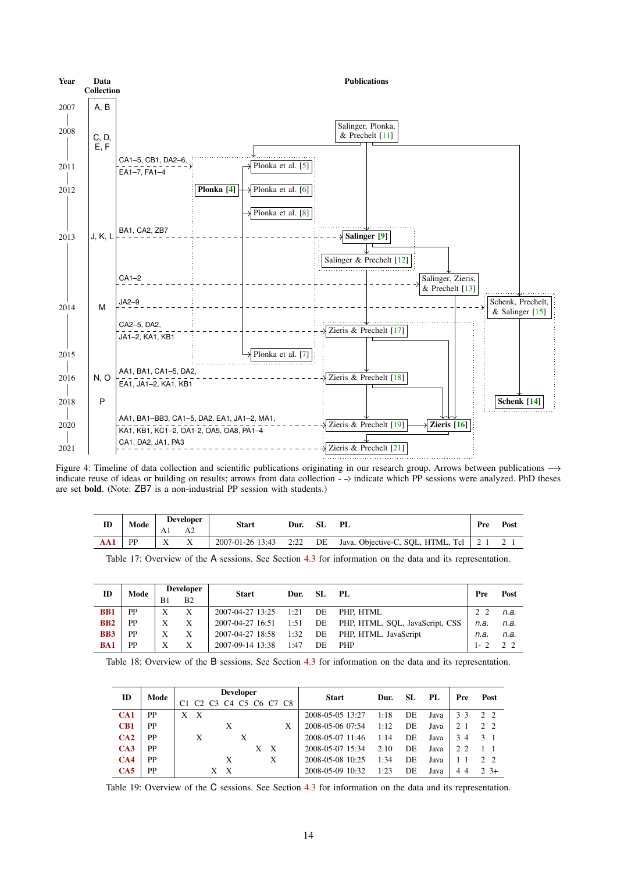<span id="page-13-3"></span>

Figure 4: Timeline of data collection and scientific publications originating in our research group. Arrows between publications  $\rightarrow$ indicate reuse of ideas or building on results; arrows from data collection  $-\rightarrow$  indicate which PP sessions were analyzed. PhD theses are set bold. (Note: ZB7 is a non-industrial PP session with students.)

<span id="page-13-0"></span>

| ID | Mode |    | <b>Developer</b> | <b>Start</b>     | Dur. | -SL | PL                                      | Pre | Post |
|----|------|----|------------------|------------------|------|-----|-----------------------------------------|-----|------|
|    |      | Αl |                  |                  |      |     |                                         |     |      |
|    | PP   |    |                  | 2007-01-26 13:43 | 2:22 | DE  | Java, Objective-C, SQL, HTML, Tcl   2 1 |     |      |

Table 17: Overview of the A sessions. See Section [4.3](#page-4-0) for information on the data and its representation.

<span id="page-13-1"></span>

| ID         | Mode      |    | <b>Developer</b> | <b>Start</b>          | Dur. | SL. | - PL                            | Pre     | Post |
|------------|-----------|----|------------------|-----------------------|------|-----|---------------------------------|---------|------|
|            |           | B1 | B <sub>2</sub>   |                       |      |     |                                 |         |      |
| <b>BB1</b> | <b>PP</b> | X  | X                | 2007-04-27 13:25      | 1:21 | DE  | PHP. HTML                       | 2 2     | n.a. |
| <b>BB2</b> | <b>PP</b> | X  | X                | 2007-04-27 16:51 1:51 |      | DE  | PHP, HTML, SQL, JavaScript, CSS | n.a.    | n.a. |
| <b>BB3</b> | <b>PP</b> | X  | X                | 2007-04-27 18:58      | 1:32 | DE  | PHP, HTML, JavaScript           | n.a.    | n.a. |
| <b>BA1</b> | <b>PP</b> | X  | X                | 2007-09-14 13:38      | 1:47 | DE  | <b>PHP</b>                      | $1 - 2$ | 22   |

<span id="page-13-2"></span>Table 18: Overview of the B sessions. See Section [4.3](#page-4-0) for information on the data and its representation.

| ID  | Mode |                      |                           | <b>Developer</b>                                                           |     |   | <b>Start</b>     | Dur. | SL  | PL   | Pre | Post           |
|-----|------|----------------------|---------------------------|----------------------------------------------------------------------------|-----|---|------------------|------|-----|------|-----|----------------|
|     |      | C <sub>3</sub><br>C2 |                           | C <sub>4</sub> C <sub>5</sub> C <sub>6</sub> C <sub>7</sub> C <sub>8</sub> |     |   |                  |      |     |      |     |                |
| CA1 | PP   | X<br>X               |                           |                                                                            |     |   | 2008-05-05 13:27 | 1:18 | DE  | Java | 33  | 22             |
| CB1 | PP   |                      | X                         |                                                                            |     | X | 2008-05-06 07:54 | 1:12 | DE  | Java |     | 2 <sub>2</sub> |
| CA2 | PP   | Х                    |                           | X                                                                          |     |   | 2008-05-07 11:46 | 1:14 | DE  | Java | 34  | 3 1            |
| CA3 | PP   |                      |                           |                                                                            | X X |   | 2008-05-07 15:34 | 2:10 | DE  | Java | 22  |                |
| CA4 | PP   |                      | X                         |                                                                            | X   |   | 2008-05-08 10:25 | 1:34 | DE. | Java |     | 2 <sub>2</sub> |
| CA5 | PP   | X                    | $\boldsymbol{\mathrm{X}}$ |                                                                            |     |   | 2008-05-09 10:32 | 1:23 | DE. | Java | 44  | $2.3+$         |

Table 19: Overview of the C sessions. See Section [4.3](#page-4-0) for information on the data and its representation.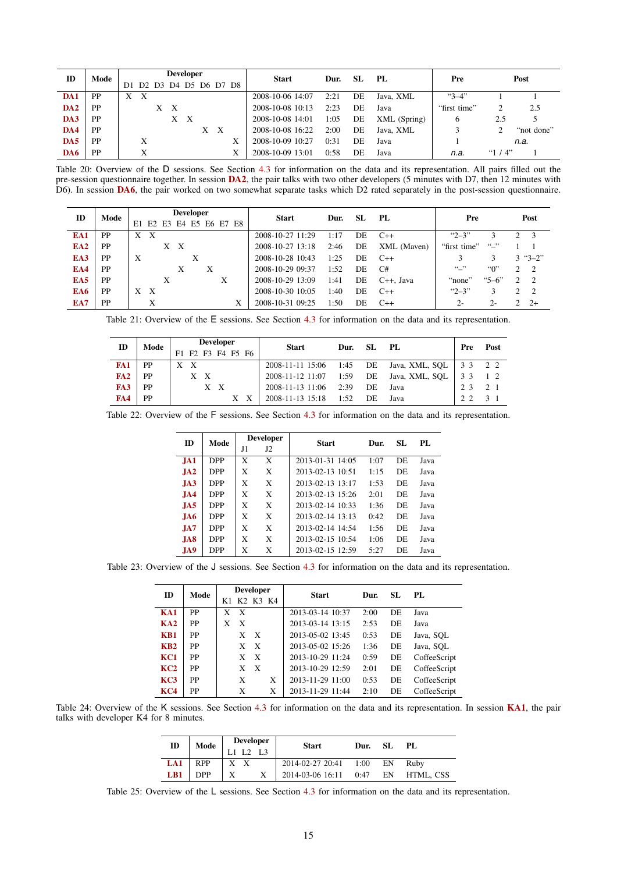<span id="page-14-0"></span>

| ID              | Mode      |                      |   | <b>Developer</b> |     |                   |   | <b>Start</b>     | Dur. | -SL | PL.          | Pre          |           | Post       |
|-----------------|-----------|----------------------|---|------------------|-----|-------------------|---|------------------|------|-----|--------------|--------------|-----------|------------|
|                 |           | D <sub>2</sub><br>D1 |   |                  |     | D3 D4 D5 D6 D7 D8 |   |                  |      |     |              |              |           |            |
| DA1             | <b>PP</b> | $\mathbf{X}$<br>X    |   |                  |     |                   |   | 2008-10-06 14:07 | 2:21 | DE  | Java, XML    | $"3-4"$      |           |            |
| DA <sub>2</sub> | <b>PP</b> |                      | X | X                |     |                   |   | 2008-10-08 10:13 | 2:23 | DE  | Java         | "first time" |           | 2.5        |
| DA3             | <b>PP</b> |                      |   |                  | X X |                   |   | 2008-10-08 14:01 | 1:05 | DE  | XML (Spring) | O            | 2.5       |            |
| DA4             | <b>PP</b> |                      |   |                  |     | X X               |   | 2008-10-08 16:22 | 2:00 | DE  | Java, XML    |              |           | "not done" |
| DA5             | <b>PP</b> | X                    |   |                  |     |                   | Х | 2008-10-09 10:27 | 0:31 | DE  | Java         |              |           | n.a.       |
| DA6             | PP        | X                    |   |                  |     |                   | Х | 2008-10-09 13:01 | 0:58 | DE  | Java         | n.a.         | " $1/4$ " |            |

Table 20: Overview of the D sessions. See Section [4.3](#page-4-0) for information on the data and its representation. All pairs filled out the pre-session questionnaire together. In session [DA2](#page-7-7), the pair talks with two other developers (5 minutes with D7, then 12 minutes with D6). In session [DA6](#page-6-0), the pair worked on two somewhat separate tasks which D2 rated separately in the post-session questionnaire.

<span id="page-14-1"></span>

| ID              | Mode      | <b>Developer</b>               | <b>Start</b>     | Dur. | SL. | PL                     | Pre                      | Post               |
|-----------------|-----------|--------------------------------|------------------|------|-----|------------------------|--------------------------|--------------------|
|                 |           | E2 E3 E4 E5 E6 E7 E8<br>E1     |                  |      |     |                        |                          |                    |
| EA1             | PP        | $\boldsymbol{\mathrm{X}}$<br>X | 2008-10-27 11:29 | 1:17 | DE  | $C++$                  | $42 - 3$                 | 2 3                |
| EA <sub>2</sub> | PP        | $\mathbf{X}$<br>X              | 2008-10-27 13:18 | 2:46 | DE  | XML (Maven)            | $\cdots$<br>"first time" |                    |
| EA3             | <b>PP</b> | X<br>Х                         | 2008-10-28 10:43 | 1:25 | DE  | $C++$                  | 3                        | $3 \text{ "3--2"}$ |
| EA4             | PP        | X<br>X                         | 2008-10-29 09:37 | 1:52 | DE  | C#                     | $``$ .,<br>"0"           | $2 \quad 2$        |
| EA5             | <b>PP</b> | X<br>X                         | 2008-10-29 13:09 | 1:41 | DE  | C <sub>++</sub> . Java | $5 - 6$<br>"none"        | 2 <sub>2</sub>     |
| EA6             | PP        | $\boldsymbol{\mathrm{X}}$<br>X | 2008-10-30 10:05 | 1:40 | DE  | $C++$                  | $"2 - 3"$<br>3           | $2 \quad 2$        |
| EA7             | PP        | X<br>Х                         | 2008-10-31 09:25 | 1:50 | DE  | $C++$                  | $2 -$<br>$2 -$           | $2 + 2 +$          |

<span id="page-14-2"></span>Table 21: Overview of the E sessions. See Section [4.3](#page-4-0) for information on the data and its representation.

| ID  | Mode |     | <b>Developer</b> |     |     |                   | <b>Start</b>     | Dur. | -SL | PL             | Pre | Post |
|-----|------|-----|------------------|-----|-----|-------------------|------------------|------|-----|----------------|-----|------|
|     |      |     |                  |     |     | F1 F2 F3 F4 F5 F6 |                  |      |     |                |     |      |
| FA1 | PP   | X X |                  |     |     |                   | 2008-11-11 15:06 | 1:45 | DE  | Java, XML, SOL | 3 3 | 2 2  |
| FA2 | PP   |     | X X              |     |     |                   | 2008-11-12 11:07 | 1:59 | DE  | Java, XML, SOL | 33  |      |
| FA3 | PP   |     |                  | X X |     |                   | 2008-11-13 11:06 | 2:39 | DE  | Java           | 2.3 | 2 1  |
| FA4 | PP   |     |                  |     | X X |                   | 2008-11-13 15:18 | 1:52 | DE  | Java           | 22  |      |

<span id="page-14-3"></span>Table 22: Overview of the F sessions. See Section [4.3](#page-4-0) for information on the data and its representation.

| ID              | Mode       |    | <b>Developer</b> | <b>Start</b>     | Dur. | SL | PL   |
|-----------------|------------|----|------------------|------------------|------|----|------|
|                 |            | J1 | $_{\rm J2}$      |                  |      |    |      |
| J <sub>A1</sub> | <b>DPP</b> | X  | X                | 2013-01-31 14:05 | 1:07 | DE | Java |
| J <sub>A2</sub> | <b>DPP</b> | X  | X                | 2013-02-13 10:51 | 1:15 | DE | Java |
| IA3             | <b>DPP</b> | X  | X                | 2013-02-13 13:17 | 1:53 | DE | Java |
| JA4             | <b>DPP</b> | X  | X                | 2013-02-13 15:26 | 2:01 | DE | Java |
| IA5             | <b>DPP</b> | X  | X                | 2013-02-14 10:33 | 1:36 | DE | Java |
| JA6             | <b>DPP</b> | X  | X                | 2013-02-14 13:13 | 0:42 | DE | Java |
| $J_A7$          | <b>DPP</b> | X  | X                | 2013-02-14 14:54 | 1:56 | DE | Java |
| J <sub>A8</sub> | <b>DPP</b> | X  | X                | 2013-02-15 10:54 | 1:06 | DE | Java |
| JA9             | <b>DPP</b> | X  | X                | 2013-02-15 12:59 | 5:27 | DE | Java |

<span id="page-14-4"></span>Table 23: Overview of the J sessions. See Section [4.3](#page-4-0) for information on the data and its representation.

| ID         | Mode |        | <b>Developer</b>          | <b>Start</b>     | Dur. | SL. | PL.          |
|------------|------|--------|---------------------------|------------------|------|-----|--------------|
|            |      | K1     | K2 K3 K4                  |                  |      |     |              |
| <b>KA1</b> | PP   | X<br>X |                           | 2013-03-14 10:37 | 2:00 | DE. | Java         |
| KA2        | PP   | X<br>X |                           | 2013-03-14 13:15 | 2:53 | DE. | Java         |
| KB1        | PP   | X      | X                         | 2013-05-02 13:45 | 0:53 | DE  | Java, SOL    |
| KB2        | PP   | X      | $\boldsymbol{\mathrm{X}}$ | 2013-05-02 15:26 | 1:36 | DE  | Java, SOL    |
| KC1        | PP   | X      | X                         | 2013-10-29 11:24 | 0:59 | DE  | CoffeeScript |
| KC2        | PP   | X      | X                         | 2013-10-29 12:59 | 2:01 | DE  | CoffeeScript |
| KC3        | PP   | X      | X                         | 2013-11-29 11:00 | 0:53 | DE  | CoffeeScript |
| KC4        | PP   | X      | X                         | 2013-11-29 11:44 | 2:10 | DE  | CoffeeScript |

<span id="page-14-5"></span>Table 24: Overview of the K sessions. See Section [4.3](#page-4-0) for information on the data and its representation. In session [KA1](#page-8-5), the pair talks with developer K4 for 8 minutes.

| ID  |            | Mode Developer<br>L1 L2 L3 | <b>Start</b>                       | Dur. | SL.<br>PL |      |
|-----|------------|----------------------------|------------------------------------|------|-----------|------|
| LA1 | <b>RPP</b> | X X                        | 2014-02-27 20:41 1:00 EN           |      |           | Ruby |
| LB1 | <b>DPP</b> |                            | 2014-03-06 16:11 0:47 EN HTML, CSS |      |           |      |

Table 25: Overview of the L sessions. See Section [4.3](#page-4-0) for information on the data and its representation.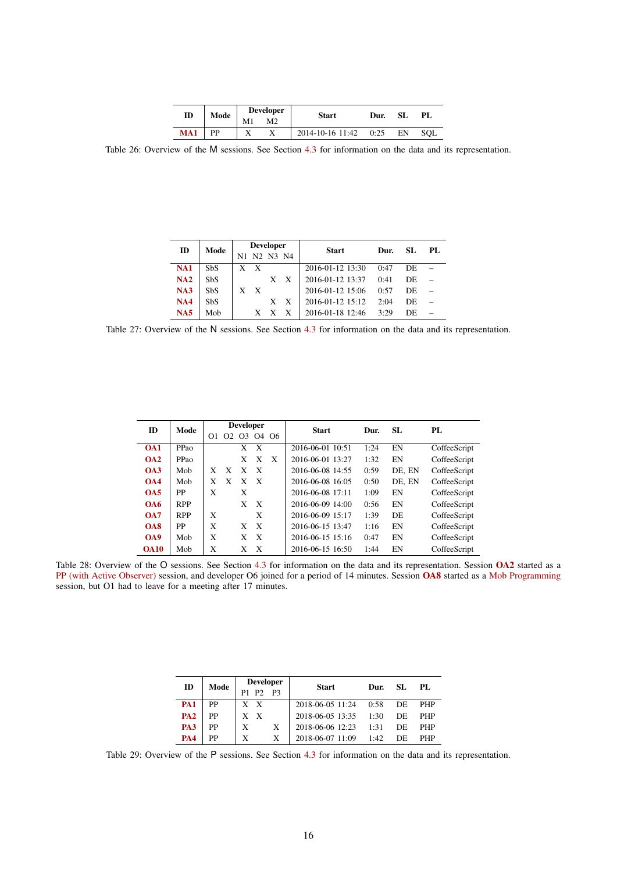| ID  | Mode | <b>Developer</b> |    | <b>Start</b>     | Dur. | SL | PL. |
|-----|------|------------------|----|------------------|------|----|-----|
|     |      | M1               | M2 |                  |      |    |     |
| MA1 | PP   |                  |    | 2014-10-16 11:42 | 0:25 | EN | SOL |

<span id="page-15-0"></span>Table 26: Overview of the M sessions. See Section [4.3](#page-4-0) for information on the data and its representation.

| ID         | Mode       |     | <b>Developer</b> |          |   | <b>Start</b>     | Dur. | SL. | PL. |
|------------|------------|-----|------------------|----------|---|------------------|------|-----|-----|
|            |            | N1. |                  | N2 N3 N4 |   |                  |      |     |     |
| <b>NA1</b> | <b>SbS</b> | X   | X                |          |   | 2016-01-12 13:30 | 0.47 | DE  |     |
| NA2        | <b>SbS</b> |     |                  | X        | X | 2016-01-12 13:37 | 0:41 | DE  |     |
| NA3        | <b>SbS</b> | X   | X                |          |   | 2016-01-12 15:06 | 0:57 | DE  |     |
| <b>NA4</b> | <b>SbS</b> |     |                  | X        | X | 2016-01-12 15:12 | 2:04 | DE  |     |
| NA5        | Mob        |     | X                | X        | X | 2016-01-18 12:46 | 3.29 | DE  |     |

<span id="page-15-1"></span>Table 27: Overview of the N sessions. See Section [4.3](#page-4-0) for information on the data and its representation.

<span id="page-15-2"></span>

| ID               | Mode       |    |          | <b>Developer</b> |              |      | <b>Start</b>     | Dur. | SL     | PL           |
|------------------|------------|----|----------|------------------|--------------|------|------------------|------|--------|--------------|
|                  |            | O1 | $\Omega$ | O <sup>3</sup>   |              | 0406 |                  |      |        |              |
| O <sub>A1</sub>  | PPao       |    |          | X                | X            |      | 2016-06-01 10:51 | 1:24 | EN     | CoffeeScript |
| O <sub>A2</sub>  | PPao       |    |          | X                | X            | X    | 2016-06-01 13:27 | 1:32 | EN     | CoffeeScript |
| O <sub>A3</sub>  | Mob        | X  | X        | X                | X            |      | 2016-06-08 14:55 | 0:59 | DE. EN | CoffeeScript |
| OAA              | Mob        | X  | X        | X                | X            |      | 2016-06-08 16:05 | 0:50 | DE. EN | CoffeeScript |
| OAS              | PP         | X  |          | X                |              |      | 2016-06-08 17:11 | 1:09 | EN     | CoffeeScript |
| O <sub>A6</sub>  | <b>RPP</b> |    |          | X                | X            |      | 2016-06-09 14:00 | 0:56 | EN     | CoffeeScript |
| O A 7            | <b>RPP</b> | X  |          |                  | X            |      | 2016-06-09 15:17 | 1:39 | DE     | CoffeeScript |
| OAS              | PP         | X  |          | X                | $\mathbf{x}$ |      | 2016-06-15 13:47 | 1:16 | EN     | CoffeeScript |
| O <sub>A</sub> 9 | Mob        | X  |          | X                | $\mathbf{x}$ |      | 2016-06-15 15:16 | 0:47 | EN     | CoffeeScript |
| <b>OA10</b>      | Mob        | X  |          | X                | X            |      | 2016-06-15 16:50 | 1:44 | EN     | CoffeeScript |

Table 28: Overview of the O sessions. See Section [4.3](#page-4-0) for information on the data and its representation. Session [OA2](#page-9-11) started as a [PP \(with Active Observer\)](#page-3-1) session, and developer O6 joined for a period of 14 minutes. Session [OA8](#page-10-4) started as a [Mob Programming](#page-3-1) session, but O1 had to leave for a meeting after 17 minutes.

| ID         | Mode |       | <b>Developer</b> | <b>Start</b>     | Dur. | SL. | PL.        |
|------------|------|-------|------------------|------------------|------|-----|------------|
|            |      | P1 P2 | P3               |                  |      |     |            |
| <b>PA1</b> | PP   | X X   |                  | 2018-06-05 11:24 | 0:58 | DE  | <b>PHP</b> |
| <b>PA2</b> | PP   | X X   |                  | 2018-06-05 13:35 | 1:30 | DE  | <b>PHP</b> |
| <b>PA3</b> | PP   | X     | X                | 2018-06-06 12:23 | 1:31 | DE  | PHP        |
| <b>PA4</b> | PP   | X     | X                | 2018-06-07 11:09 | 1:42 | DE  | PHP        |

<span id="page-15-3"></span>Table 29: Overview of the P sessions. See Section [4.3](#page-4-0) for information on the data and its representation.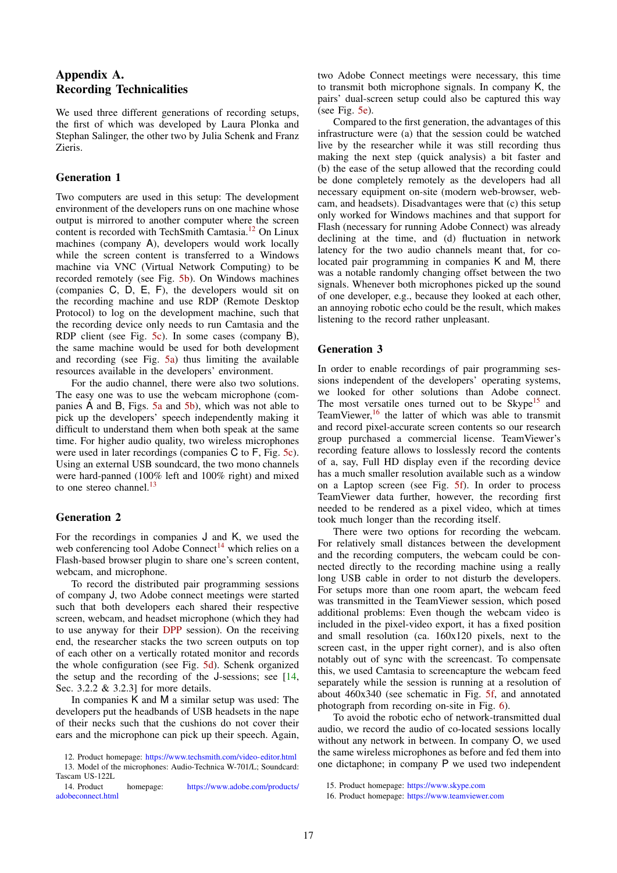## <span id="page-16-0"></span>Appendix A. Recording Technicalities

We used three different generations of recording setups, the first of which was developed by Laura Plonka and Stephan Salinger, the other two by Julia Schenk and Franz Zieris.

## Generation 1

Two computers are used in this setup: The development environment of the developers runs on one machine whose output is mirrored to another computer where the screen content is recorded with TechSmith Camtasia.[12](#page-16-1) On Linux machines (company A), developers would work locally while the screen content is transferred to a Windows machine via VNC (Virtual Network Computing) to be recorded remotely (see Fig. [5b\)](#page-17-0). On Windows machines (companies C, D, E, F), the developers would sit on the recording machine and use RDP (Remote Desktop Protocol) to log on the development machine, such that the recording device only needs to run Camtasia and the RDP client (see Fig. [5c\)](#page-17-0). In some cases (company B), the same machine would be used for both development and recording (see Fig. [5a\)](#page-17-0) thus limiting the available resources available in the developers' environment.

For the audio channel, there were also two solutions. The easy one was to use the webcam microphone (companies A and B, Figs. [5a](#page-17-0) and [5b\)](#page-17-0), which was not able to pick up the developers' speech independently making it difficult to understand them when both speak at the same time. For higher audio quality, two wireless microphones were used in later recordings (companies C to F, Fig. [5c\)](#page-17-0). Using an external USB soundcard, the two mono channels were hard-panned (100% left and 100% right) and mixed to one stereo channel.<sup>[13](#page-16-2)</sup>

## Generation 2

For the recordings in companies J and K, we used the web conferencing tool Adobe Connect<sup>[14](#page-16-3)</sup> which relies on a Flash-based browser plugin to share one's screen content, webcam, and microphone.

To record the distributed pair programming sessions of company J, two Adobe connect meetings were started such that both developers each shared their respective screen, webcam, and headset microphone (which they had to use anyway for their [DPP](#page-3-1) session). On the receiving end, the researcher stacks the two screen outputs on top of each other on a vertically rotated monitor and records the whole configuration (see Fig. [5d\)](#page-17-0). Schenk organized the setup and the recording of the J-sessions; see [\[14,](#page-12-9) Sec. 3.2.2 & 3.2.3] for more details.

In companies K and M a similar setup was used: The developers put the headbands of USB headsets in the nape of their necks such that the cushions do not cover their ears and the microphone can pick up their speech. Again,

two Adobe Connect meetings were necessary, this time to transmit both microphone signals. In company K, the pairs' dual-screen setup could also be captured this way (see Fig. [5e\)](#page-17-0).

Compared to the first generation, the advantages of this infrastructure were (a) that the session could be watched live by the researcher while it was still recording thus making the next step (quick analysis) a bit faster and (b) the ease of the setup allowed that the recording could be done completely remotely as the developers had all necessary equipment on-site (modern web-browser, webcam, and headsets). Disadvantages were that (c) this setup only worked for Windows machines and that support for Flash (necessary for running Adobe Connect) was already declining at the time, and (d) fluctuation in network latency for the two audio channels meant that, for colocated pair programming in companies K and M, there was a notable randomly changing offset between the two signals. Whenever both microphones picked up the sound of one developer, e.g., because they looked at each other, an annoying robotic echo could be the result, which makes listening to the record rather unpleasant.

## Generation 3

In order to enable recordings of pair programming sessions independent of the developers' operating systems, we looked for other solutions than Adobe connect. The most versatile ones turned out to be  $\text{Skype}^{15}$  $\text{Skype}^{15}$  $\text{Skype}^{15}$  and TeamViewer, $16$  the latter of which was able to transmit and record pixel-accurate screen contents so our research group purchased a commercial license. TeamViewer's recording feature allows to losslessly record the contents of a, say, Full HD display even if the recording device has a much smaller resolution available such as a window on a Laptop screen (see Fig. [5f\)](#page-17-0). In order to process TeamViewer data further, however, the recording first needed to be rendered as a pixel video, which at times took much longer than the recording itself.

There were two options for recording the webcam. For relatively small distances between the development and the recording computers, the webcam could be connected directly to the recording machine using a really long USB cable in order to not disturb the developers. For setups more than one room apart, the webcam feed was transmitted in the TeamViewer session, which posed additional problems: Even though the webcam video is included in the pixel-video export, it has a fixed position and small resolution (ca. 160x120 pixels, next to the screen cast, in the upper right corner), and is also often notably out of sync with the screencast. To compensate this, we used Camtasia to screencapture the webcam feed separately while the session is running at a resolution of about 460x340 (see schematic in Fig. [5f,](#page-17-0) and annotated photograph from recording on-site in Fig. [6\)](#page-17-1).

To avoid the robotic echo of network-transmitted dual audio, we record the audio of co-located sessions locally without any network in between. In company O, we used the same wireless microphones as before and fed them into one dictaphone; in company P we used two independent

<span id="page-16-2"></span><span id="page-16-1"></span><sup>12.</sup> Product homepage: <https://www.techsmith.com/video-editor.html>

<sup>13.</sup> Model of the microphones: Audio-Technica W-701/L; Soundcard: Tascam US-122L

<span id="page-16-3"></span>homepage: [https://www.adobe.com/products/](https://www.adobe.com/products/adobeconnect.html) [adobeconnect.html](https://www.adobe.com/products/adobeconnect.html)

<span id="page-16-4"></span><sup>15.</sup> Product homepage: <https://www.skype.com>

<span id="page-16-5"></span><sup>16.</sup> Product homepage: <https://www.teamviewer.com>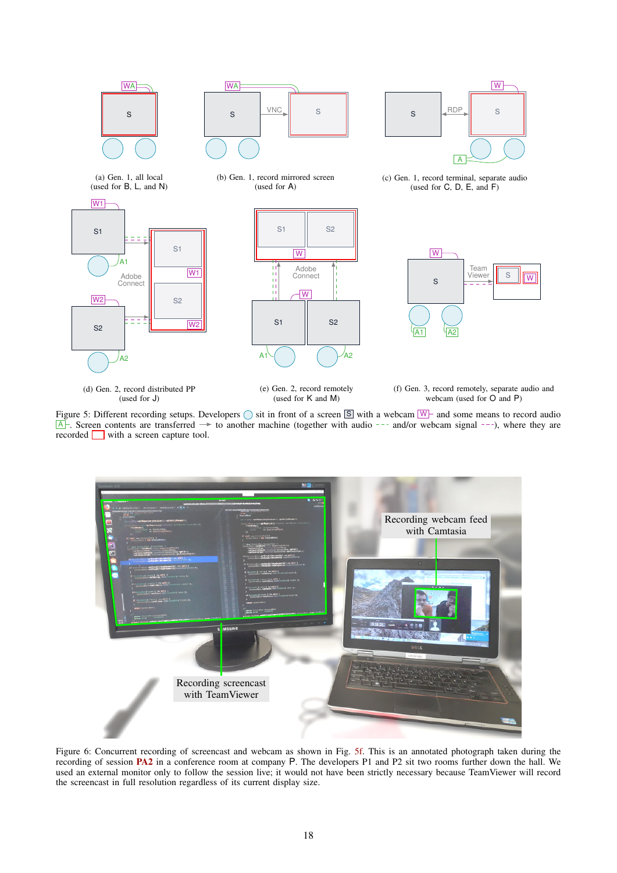<span id="page-17-0"></span>

Figure 5: Different recording setups. Developers  $\bigcirc$  sit in front of a screen  $\boxed{\mathbb{S}}$  with a webcam  $\boxed{\mathbb{W}}$  and some means to record audio  $\overline{A}$ . Screen contents are transferred  $\rightarrow$  to another machine (together with audio --- and/or webcam signal ---), where they are recorded with a screen capture tool.

<span id="page-17-1"></span>

Figure 6: Concurrent recording of screencast and webcam as shown in Fig. [5f.](#page-17-0) This is an annotated photograph taken during the recording of session **[PA2](#page-10-6)** in a conference room at company P. The developers P1 and P2 sit two rooms further down the hall. We used an external monitor only to follow the session live; it would not have been strictly necessary because TeamViewer will record the screencast in full resolution regardless of its current display size.